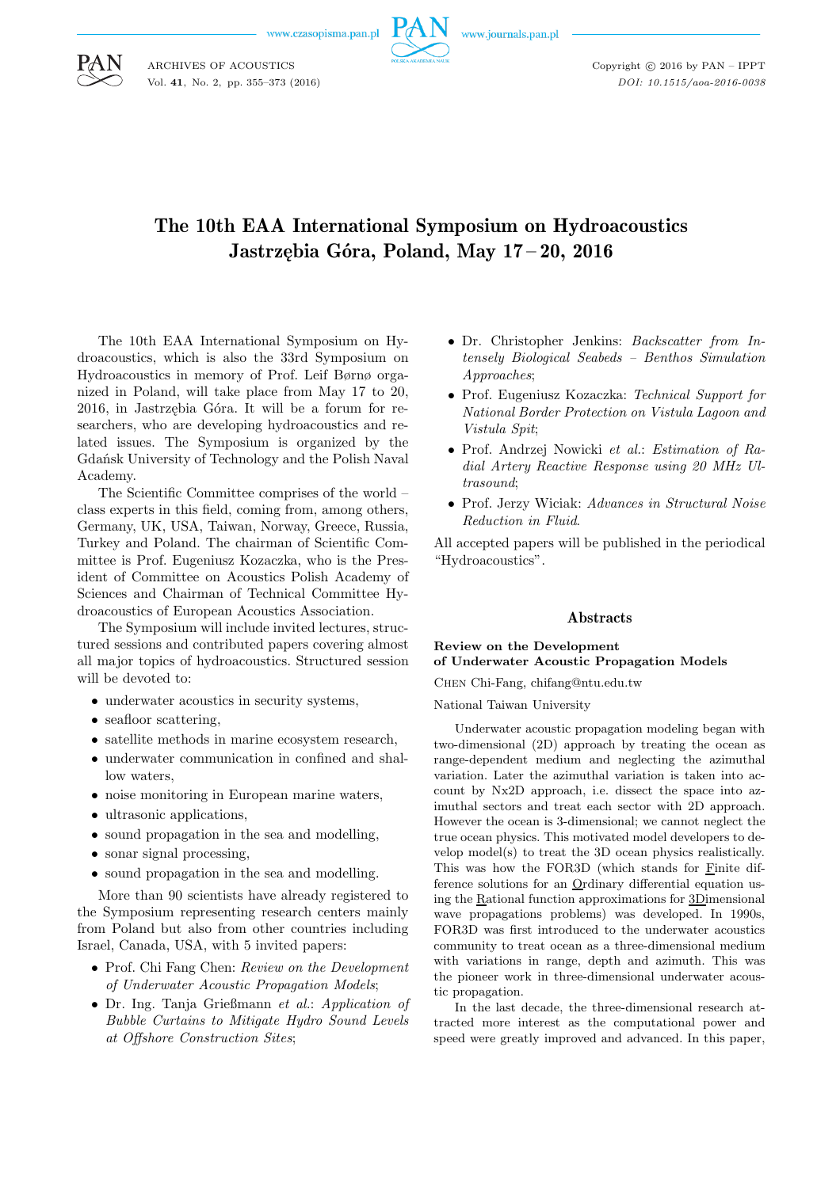www.czasopisma.pan.pl



www.journals.pan.pl

Copyright  $\odot$  2016 by PAN - IPPT *DOI: 10.1515/aoa-2016-0038*

# The 10th EAA International Symposium on Hydroacoustics Jastrzębia Góra, Poland, May 17 – 20, 2016

The 10th EAA International Symposium on Hydroacoustics, which is also the 33rd Symposium on Hydroacoustics in memory of Prof. Leif Børnø organized in Poland, will take place from May 17 to 20, 2016, in Jastrzębia Góra. It will be a forum for researchers, who are developing hydroacoustics and related issues. The Symposium is organized by the Gdańsk University of Technology and the Polish Naval Academy.

The Scientific Committee comprises of the world – class experts in this field, coming from, among others, Germany, UK, USA, Taiwan, Norway, Greece, Russia, Turkey and Poland. The chairman of Scientific Committee is Prof. Eugeniusz Kozaczka, who is the President of Committee on Acoustics Polish Academy of Sciences and Chairman of Technical Committee Hydroacoustics of European Acoustics Association.

The Symposium will include invited lectures, structured sessions and contributed papers covering almost all major topics of hydroacoustics. Structured session will be devoted to:

- underwater acoustics in security systems,
- seafloor scattering,
- satellite methods in marine ecosystem research,
- underwater communication in confined and shallow waters,
- noise monitoring in European marine waters,
- ultrasonic applications.
- sound propagation in the sea and modelling,
- sonar signal processing,
- sound propagation in the sea and modelling.

More than 90 scientists have already registered to the Symposium representing research centers mainly from Poland but also from other countries including Israel, Canada, USA, with 5 invited papers:

- Prof. Chi Fang Chen: *Review on the Development of Underwater Acoustic Propagation Models*;
- Dr. Ing. Tanja Grießmann *et al.*: *Application of Bubble Curtains to Mitigate Hydro Sound Levels at Offshore Construction Sites*;
- Dr. Christopher Jenkins: *Backscatter from Intensely Biological Seabeds – Benthos Simulation Approaches*;
- Prof. Eugeniusz Kozaczka: *Technical Support for National Border Protection on Vistula Lagoon and Vistula Spit*;
- Prof. Andrzej Nowicki *et al.*: *Estimation of Radial Artery Reactive Response using 20 MHz Ultrasound*;
- Prof. Jerzy Wiciak: *Advances in Structural Noise Reduction in Fluid*.

All accepted papers will be published in the periodical "Hydroacoustics".

### Abstracts

# **Review on the Development of Underwater Acoustic Propagation Models**

Chen Chi-Fang, chifang@ntu.edu.tw

National Taiwan University

Underwater acoustic propagation modeling began with two-dimensional (2D) approach by treating the ocean as range-dependent medium and neglecting the azimuthal variation. Later the azimuthal variation is taken into account by Nx2D approach, i.e. dissect the space into azimuthal sectors and treat each sector with 2D approach. However the ocean is 3-dimensional; we cannot neglect the true ocean physics. This motivated model developers to develop model(s) to treat the 3D ocean physics realistically. This was how the FOR3D (which stands for Finite difference solutions for an Ordinary differential equation using the Rational function approximations for 3Dimensional wave propagations problems) was developed. In 1990s, FOR3D was first introduced to the underwater acoustics community to treat ocean as a three-dimensional medium with variations in range, depth and azimuth. This was the pioneer work in three-dimensional underwater acoustic propagation.

In the last decade, the three-dimensional research attracted more interest as the computational power and speed were greatly improved and advanced. In this paper,



ARCHIVES OF ACOUSTICS Vol. **41**, No. 2, pp. 355–373 (2016)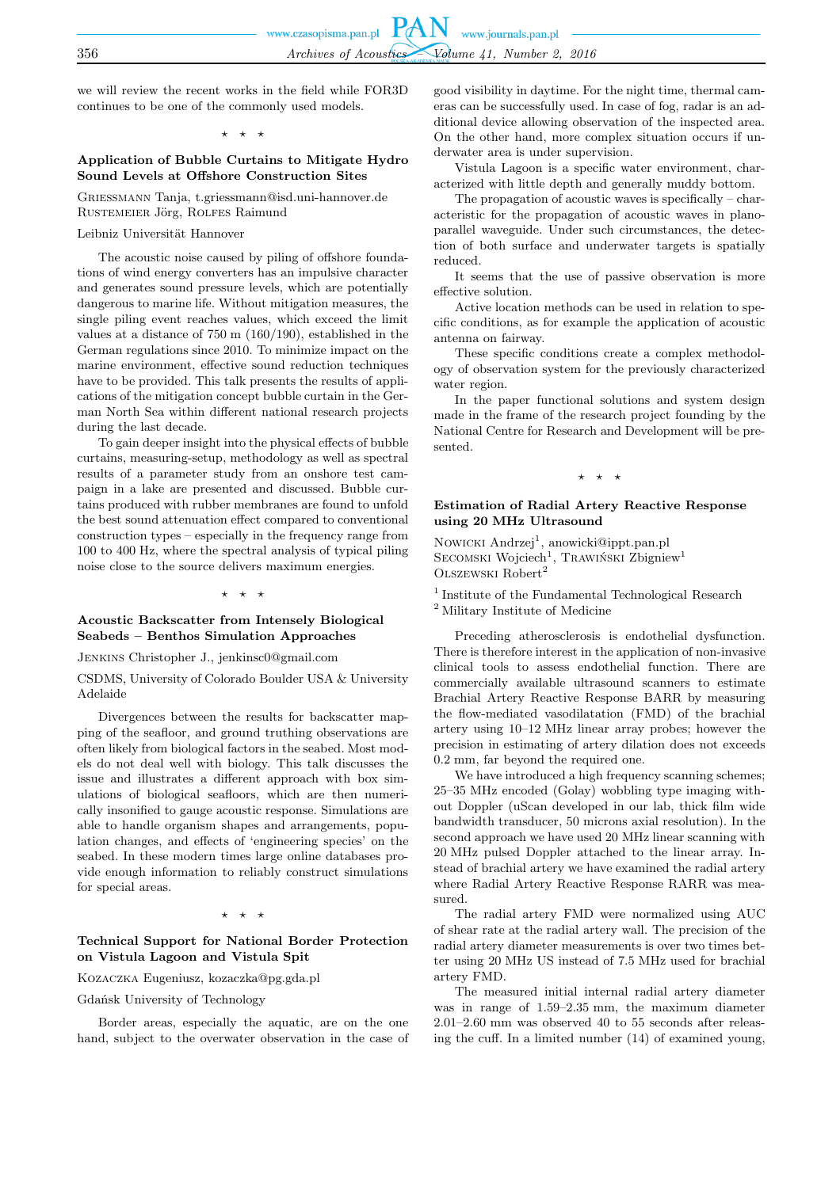we will review the recent works in the field while FOR3D continues to be one of the commonly used models.

 $\star$ 

### **Application of Bubble Curtains to Mitigate Hydro Sound Levels at Offshore Construction Sites**

Grießmann Tanja, t.griessmann@isd.uni-hannover.de RUSTEMEIER Jörg, ROLFES Raimund

#### Leibniz Universität Hannover

The acoustic noise caused by piling of offshore foundations of wind energy converters has an impulsive character and generates sound pressure levels, which are potentially dangerous to marine life. Without mitigation measures, the single piling event reaches values, which exceed the limit values at a distance of 750 m (160/190), established in the German regulations since 2010. To minimize impact on the marine environment, effective sound reduction techniques have to be provided. This talk presents the results of applications of the mitigation concept bubble curtain in the German North Sea within different national research projects during the last decade.

To gain deeper insight into the physical effects of bubble curtains, measuring-setup, methodology as well as spectral results of a parameter study from an onshore test campaign in a lake are presented and discussed. Bubble curtains produced with rubber membranes are found to unfold the best sound attenuation effect compared to conventional construction types – especially in the frequency range from 100 to 400 Hz, where the spectral analysis of typical piling noise close to the source delivers maximum energies.

#### ⋆ ⋆ ⋆

#### **Acoustic Backscatter from Intensely Biological Seabeds – Benthos Simulation Approaches**

Jenkins Christopher J., jenkinsc0@gmail.com

CSDMS, University of Colorado Boulder USA & University Adelaide

Divergences between the results for backscatter mapping of the seafloor, and ground truthing observations are often likely from biological factors in the seabed. Most models do not deal well with biology. This talk discusses the issue and illustrates a different approach with box simulations of biological seafloors, which are then numerically insonified to gauge acoustic response. Simulations are able to handle organism shapes and arrangements, population changes, and effects of 'engineering species' on the seabed. In these modern times large online databases provide enough information to reliably construct simulations for special areas.

 $\star$   $\star$ 

#### **Technical Support for National Border Protection on Vistula Lagoon and Vistula Spit**

# Kozaczka Eugeniusz, kozaczka@pg.gda.pl

#### Gdańsk University of Technology

Border areas, especially the aquatic, are on the one hand, subject to the overwater observation in the case of good visibility in daytime. For the night time, thermal cameras can be successfully used. In case of fog, radar is an additional device allowing observation of the inspected area. On the other hand, more complex situation occurs if underwater area is under supervision.

Vistula Lagoon is a specific water environment, characterized with little depth and generally muddy bottom.

The propagation of acoustic waves is specifically – characteristic for the propagation of acoustic waves in planoparallel waveguide. Under such circumstances, the detection of both surface and underwater targets is spatially reduced.

It seems that the use of passive observation is more effective solution.

Active location methods can be used in relation to specific conditions, as for example the application of acoustic antenna on fairway.

These specific conditions create a complex methodology of observation system for the previously characterized water region.

In the paper functional solutions and system design made in the frame of the research project founding by the National Centre for Research and Development will be presented.

 $\rightarrow$ 

# **Estimation of Radial Artery Reactive Response using 20 MHz Ultrasound**

Nowicki Andrzej<sup>1</sup>, anowicki@ippt.pan.pl SECOMSKI Wojciech<sup>1</sup>, Trawiński Zbigniew<sup>1</sup> OLSZEWSKI Robert<sup>2</sup>

<sup>1</sup> Institute of the Fundamental Technological Research <sup>2</sup> Military Institute of Medicine

Preceding atherosclerosis is endothelial dysfunction. There is therefore interest in the application of non-invasive clinical tools to assess endothelial function. There are commercially available ultrasound scanners to estimate Brachial Artery Reactive Response BARR by measuring the flow-mediated vasodilatation (FMD) of the brachial artery using 10–12 MHz linear array probes; however the precision in estimating of artery dilation does not exceeds 0.2 mm, far beyond the required one.

We have introduced a high frequency scanning schemes; 25–35 MHz encoded (Golay) wobbling type imaging without Doppler (uScan developed in our lab, thick film wide bandwidth transducer, 50 microns axial resolution). In the second approach we have used 20 MHz linear scanning with 20 MHz pulsed Doppler attached to the linear array. Instead of brachial artery we have examined the radial artery where Radial Artery Reactive Response RARR was measured.

The radial artery FMD were normalized using AUC of shear rate at the radial artery wall. The precision of the radial artery diameter measurements is over two times better using 20 MHz US instead of 7.5 MHz used for brachial artery FMD.

The measured initial internal radial artery diameter was in range of 1.59–2.35 mm, the maximum diameter 2.01–2.60 mm was observed 40 to 55 seconds after releasing the cuff. In a limited number (14) of examined young,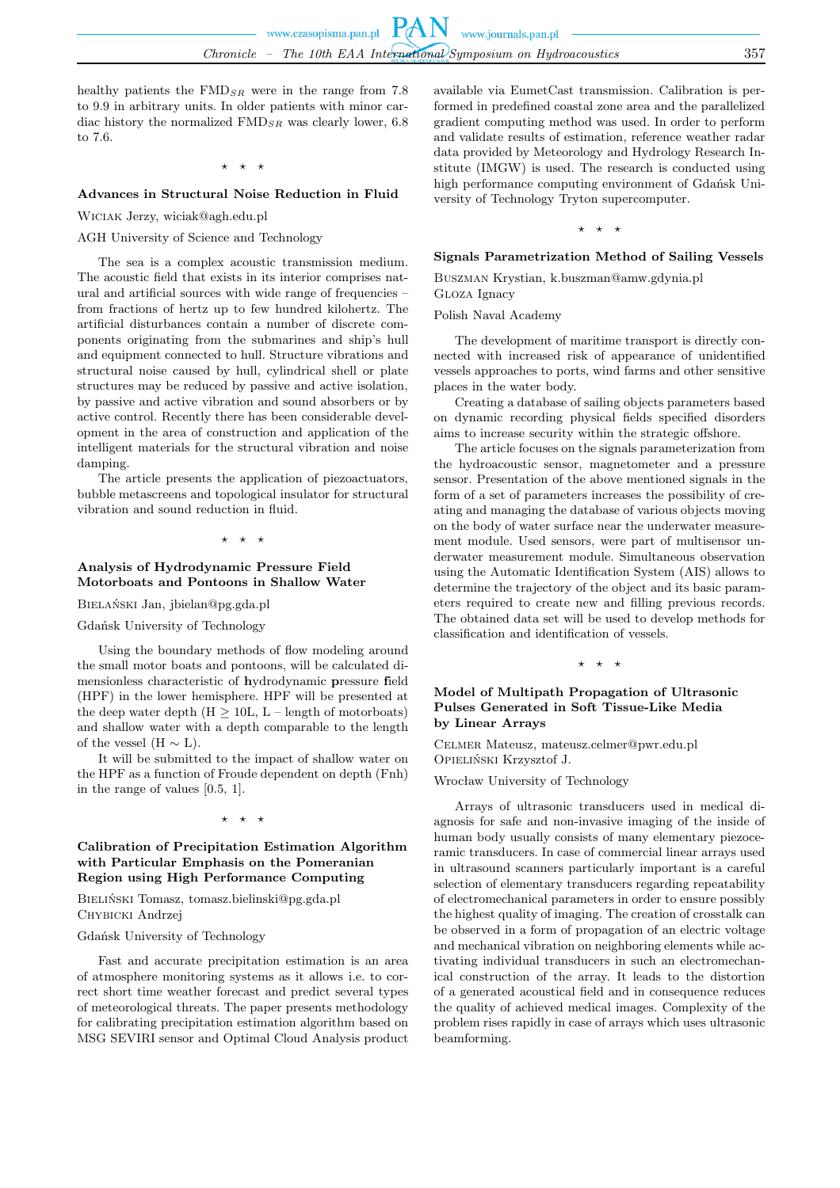healthy patients the  $\text{FMD}_{SR}$  were in the range from 7.8 to 9.9 in arbitrary units. In older patients with minor cardiac history the normalized  $\text{FMD}_{SR}$  was clearly lower, 6.8 to 7.6.

 $\star$   $\star$ 

# **Advances in Structural Noise Reduction in Fluid**

Wiciak Jerzy, wiciak@agh.edu.pl

### AGH University of Science and Technology

The sea is a complex acoustic transmission medium. The acoustic field that exists in its interior comprises natural and artificial sources with wide range of frequencies – from fractions of hertz up to few hundred kilohertz. The artificial disturbances contain a number of discrete components originating from the submarines and ship's hull and equipment connected to hull. Structure vibrations and structural noise caused by hull, cylindrical shell or plate structures may be reduced by passive and active isolation, by passive and active vibration and sound absorbers or by active control. Recently there has been considerable development in the area of construction and application of the intelligent materials for the structural vibration and noise damping.

The article presents the application of piezoactuators, bubble metascreens and topological insulator for structural vibration and sound reduction in fluid.

#### ⋆ ⋆ ⋆

# **Analysis of Hydrodynamic Pressure Field Motorboats and Pontoons in Shallow Water**

Bielański Jan, jbielan@pg.gda.pl

Gdańsk University of Technology

Using the boundary methods of flow modeling around the small motor boats and pontoons, will be calculated dimensionless characteristic of **h**ydrodynamic **p**ressure **f**ield (HPF) in the lower hemisphere. HPF will be presented at the deep water depth  $(H \geq 10L, L - \text{length of motorboards})$ and shallow water with a depth comparable to the length of the vessel (H  $\sim$  L).

It will be submitted to the impact of shallow water on the HPF as a function of Froude dependent on depth (Fnh) in the range of values [0.5, 1].

#### ⋆ ⋆ ⋆

### **Calibration of Precipitation Estimation Algorithm with Particular Emphasis on the Pomeranian Region using High Performance Computing**

Bieliński Tomasz, tomasz.bielinski@pg.gda.pl Chybicki Andrzej

#### Gdańsk University of Technology

Fast and accurate precipitation estimation is an area of atmosphere monitoring systems as it allows i.e. to correct short time weather forecast and predict several types of meteorological threats. The paper presents methodology for calibrating precipitation estimation algorithm based on MSG SEVIRI sensor and Optimal Cloud Analysis product available via EumetCast transmission. Calibration is performed in predefined coastal zone area and the parallelized gradient computing method was used. In order to perform and validate results of estimation, reference weather radar data provided by Meteorology and Hydrology Research Institute (IMGW) is used. The research is conducted using high performance computing environment of Gdańsk University of Technology Tryton supercomputer.

### ⋆ ⋆ ⋆

# **Signals Parametrization Method of Sailing Vessels**

Buszman Krystian, k.buszman@amw.gdynia.pl Gloza Ignacy

Polish Naval Academy

The development of maritime transport is directly connected with increased risk of appearance of unidentified vessels approaches to ports, wind farms and other sensitive places in the water body.

Creating a database of sailing objects parameters based on dynamic recording physical fields specified disorders aims to increase security within the strategic offshore.

The article focuses on the signals parameterization from the hydroacoustic sensor, magnetometer and a pressure sensor. Presentation of the above mentioned signals in the form of a set of parameters increases the possibility of creating and managing the database of various objects moving on the body of water surface near the underwater measurement module. Used sensors, were part of multisensor underwater measurement module. Simultaneous observation using the Automatic Identification System (AIS) allows to determine the trajectory of the object and its basic parameters required to create new and filling previous records. The obtained data set will be used to develop methods for classification and identification of vessels.

⋆ ⋆ ⋆

### **Model of Multipath Propagation of Ultrasonic Pulses Generated in Soft Tissue-Like Media by Linear Arrays**

Celmer Mateusz, mateusz.celmer@pwr.edu.pl Opieliński Krzysztof J.

Wrocław University of Technology

Arrays of ultrasonic transducers used in medical diagnosis for safe and non-invasive imaging of the inside of human body usually consists of many elementary piezoceramic transducers. In case of commercial linear arrays used in ultrasound scanners particularly important is a careful selection of elementary transducers regarding repeatability of electromechanical parameters in order to ensure possibly the highest quality of imaging. The creation of crosstalk can be observed in a form of propagation of an electric voltage and mechanical vibration on neighboring elements while activating individual transducers in such an electromechanical construction of the array. It leads to the distortion of a generated acoustical field and in consequence reduces the quality of achieved medical images. Complexity of the problem rises rapidly in case of arrays which uses ultrasonic beamforming.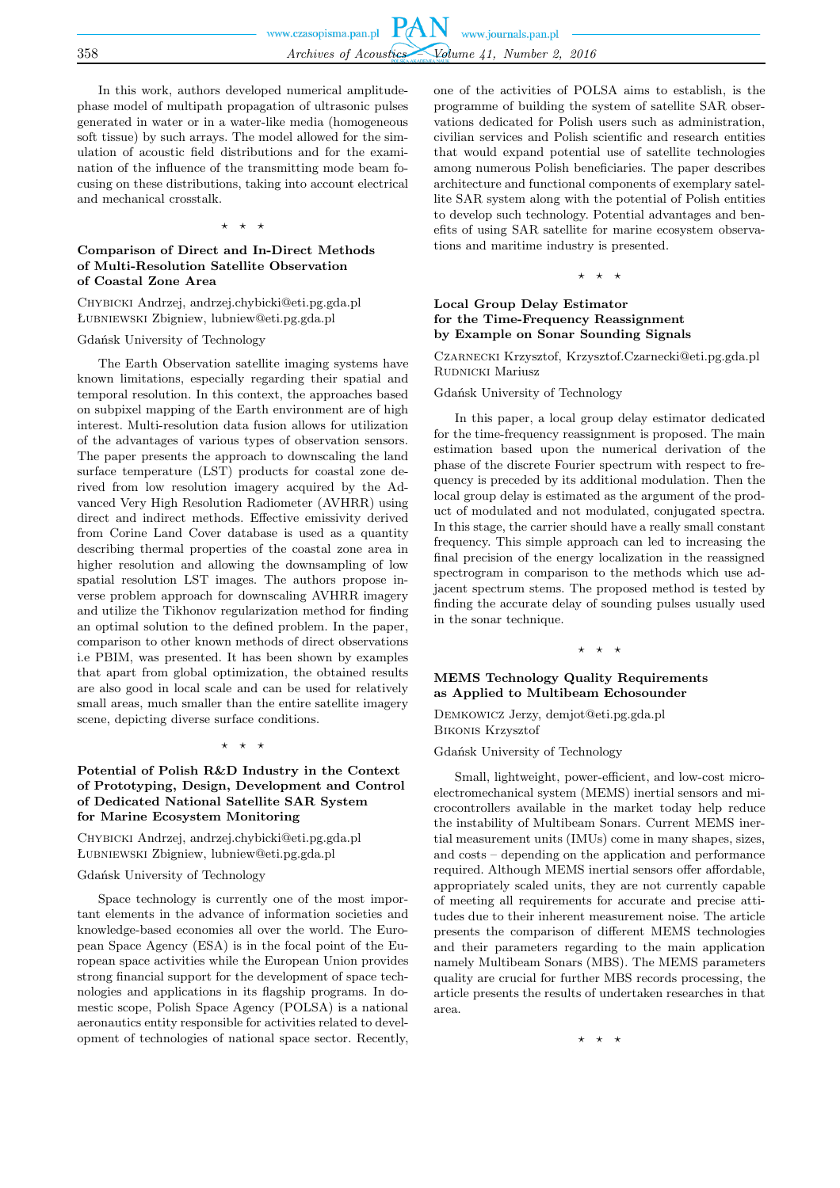In this work, authors developed numerical amplitudephase model of multipath propagation of ultrasonic pulses generated in water or in a water-like media (homogeneous soft tissue) by such arrays. The model allowed for the simulation of acoustic field distributions and for the examination of the influence of the transmitting mode beam focusing on these distributions, taking into account electrical and mechanical crosstalk.

#### ⋆ ⋆ ⋆

# **Comparison of Direct and In-Direct Methods of Multi-Resolution Satellite Observation of Coastal Zone Area**

Chybicki Andrzej, andrzej.chybicki@eti.pg.gda.pl Łubniewski Zbigniew, lubniew@eti.pg.gda.pl

#### Gdańsk University of Technology

The Earth Observation satellite imaging systems have known limitations, especially regarding their spatial and temporal resolution. In this context, the approaches based on subpixel mapping of the Earth environment are of high interest. Multi-resolution data fusion allows for utilization of the advantages of various types of observation sensors. The paper presents the approach to downscaling the land surface temperature (LST) products for coastal zone derived from low resolution imagery acquired by the Advanced Very High Resolution Radiometer (AVHRR) using direct and indirect methods. Effective emissivity derived from Corine Land Cover database is used as a quantity describing thermal properties of the coastal zone area in higher resolution and allowing the downsampling of low spatial resolution LST images. The authors propose inverse problem approach for downscaling AVHRR imagery and utilize the Tikhonov regularization method for finding an optimal solution to the defined problem. In the paper, comparison to other known methods of direct observations i.e PBIM, was presented. It has been shown by examples that apart from global optimization, the obtained results are also good in local scale and can be used for relatively small areas, much smaller than the entire satellite imagery scene, depicting diverse surface conditions.

#### $\star$   $\star$

# **Potential of Polish R&D Industry in the Context of Prototyping, Design, Development and Control of Dedicated National Satellite SAR System for Marine Ecosystem Monitoring**

Chybicki Andrzej, andrzej.chybicki@eti.pg.gda.pl Łubniewski Zbigniew, lubniew@eti.pg.gda.pl

### Gdańsk University of Technology

Space technology is currently one of the most important elements in the advance of information societies and knowledge-based economies all over the world. The European Space Agency (ESA) is in the focal point of the European space activities while the European Union provides strong financial support for the development of space technologies and applications in its flagship programs. In domestic scope, Polish Space Agency (POLSA) is a national aeronautics entity responsible for activities related to development of technologies of national space sector. Recently, one of the activities of POLSA aims to establish, is the programme of building the system of satellite SAR observations dedicated for Polish users such as administration, civilian services and Polish scientific and research entities that would expand potential use of satellite technologies among numerous Polish beneficiaries. The paper describes architecture and functional components of exemplary satellite SAR system along with the potential of Polish entities to develop such technology. Potential advantages and benefits of using SAR satellite for marine ecosystem observations and maritime industry is presented.

#### ⋆ ⋆ ⋆

# **Local Group Delay Estimator for the Time-Frequency Reassignment by Example on Sonar Sounding Signals**

Czarnecki Krzysztof, Krzysztof.Czarnecki@eti.pg.gda.pl RUDNICKI Mariusz

#### Gdańsk University of Technology

In this paper, a local group delay estimator dedicated for the time-frequency reassignment is proposed. The main estimation based upon the numerical derivation of the phase of the discrete Fourier spectrum with respect to frequency is preceded by its additional modulation. Then the local group delay is estimated as the argument of the product of modulated and not modulated, conjugated spectra. In this stage, the carrier should have a really small constant frequency. This simple approach can led to increasing the final precision of the energy localization in the reassigned spectrogram in comparison to the methods which use adjacent spectrum stems. The proposed method is tested by finding the accurate delay of sounding pulses usually used in the sonar technique.

#### $\rightarrow$

# **MEMS Technology Quality Requirements as Applied to Multibeam Echosounder**

Demkowicz Jerzy, demjot@eti.pg.gda.pl Bikonis Krzysztof

Gdańsk University of Technology

Small, lightweight, power-efficient, and low-cost microelectromechanical system (MEMS) inertial sensors and microcontrollers available in the market today help reduce the instability of Multibeam Sonars. Current MEMS inertial measurement units (IMUs) come in many shapes, sizes, and costs – depending on the application and performance required. Although MEMS inertial sensors offer affordable, appropriately scaled units, they are not currently capable of meeting all requirements for accurate and precise attitudes due to their inherent measurement noise. The article presents the comparison of different MEMS technologies and their parameters regarding to the main application namely Multibeam Sonars (MBS). The MEMS parameters quality are crucial for further MBS records processing, the article presents the results of undertaken researches in that area.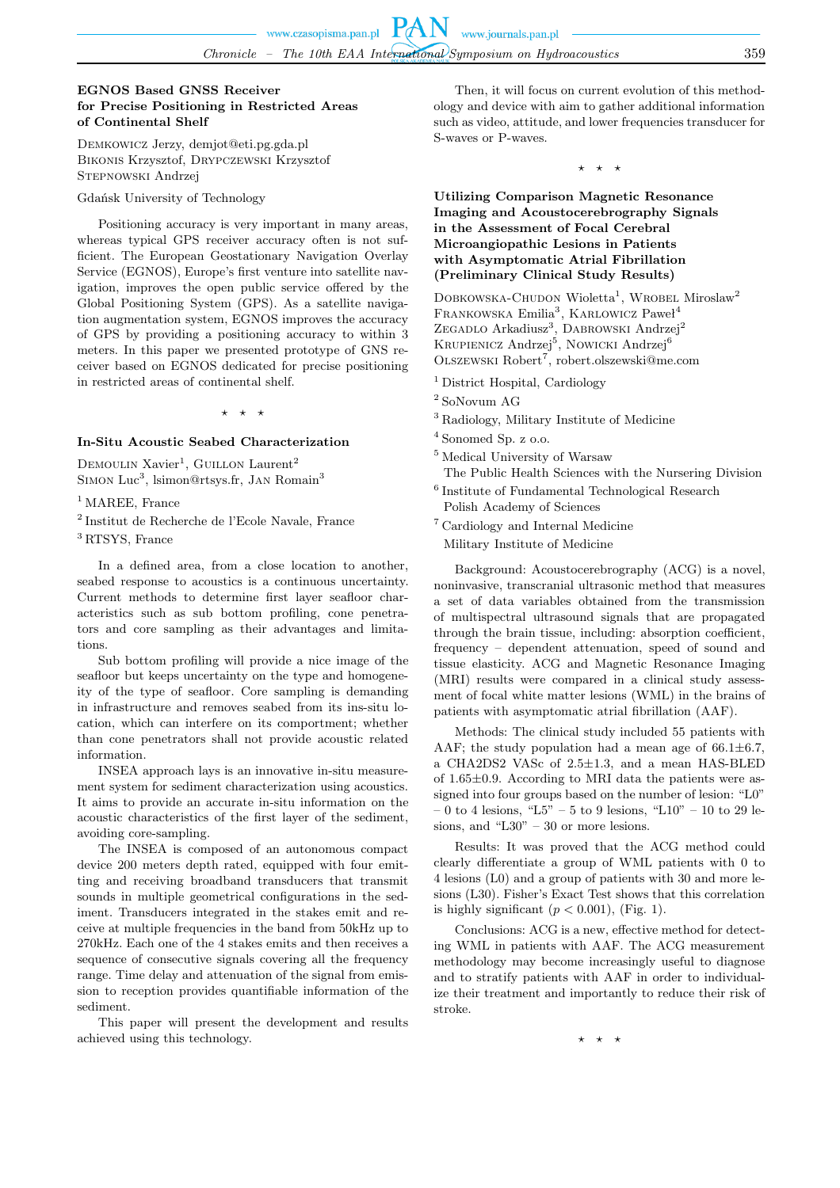# **EGNOS Based GNSS Receiver for Precise Positioning in Restricted Areas of Continental Shelf**

Demkowicz Jerzy, demjot@eti.pg.gda.pl Bikonis Krzysztof, Drypczewski Krzysztof STEPNOWSKI Andrzej

Gdańsk University of Technology

Positioning accuracy is very important in many areas, whereas typical GPS receiver accuracy often is not sufficient. The European Geostationary Navigation Overlay Service (EGNOS), Europe's first venture into satellite navigation, improves the open public service offered by the Global Positioning System (GPS). As a satellite navigation augmentation system, EGNOS improves the accuracy of GPS by providing a positioning accuracy to within 3 meters. In this paper we presented prototype of GNS receiver based on EGNOS dedicated for precise positioning in restricted areas of continental shelf.

 $\star$ 

#### **In-Situ Acoustic Seabed Characterization**

DEMOULIN Xavier<sup>1</sup>, GUILLON Laurent<sup>2</sup> SIMON Luc<sup>3</sup>, lsimon@rtsys.fr, JAN Romain<sup>3</sup>

<sup>1</sup> MAREE, France

2 Institut de Recherche de l'Ecole Navale, France

<sup>3</sup> RTSYS, France

In a defined area, from a close location to another, seabed response to acoustics is a continuous uncertainty. Current methods to determine first layer seafloor characteristics such as sub bottom profiling, cone penetrators and core sampling as their advantages and limitations.

Sub bottom profiling will provide a nice image of the seafloor but keeps uncertainty on the type and homogeneity of the type of seafloor. Core sampling is demanding in infrastructure and removes seabed from its ins-situ location, which can interfere on its comportment; whether than cone penetrators shall not provide acoustic related information.

INSEA approach lays is an innovative in-situ measurement system for sediment characterization using acoustics. It aims to provide an accurate in-situ information on the acoustic characteristics of the first layer of the sediment, avoiding core-sampling.

The INSEA is composed of an autonomous compact device 200 meters depth rated, equipped with four emitting and receiving broadband transducers that transmit sounds in multiple geometrical configurations in the sediment. Transducers integrated in the stakes emit and receive at multiple frequencies in the band from 50kHz up to 270kHz. Each one of the 4 stakes emits and then receives a sequence of consecutive signals covering all the frequency range. Time delay and attenuation of the signal from emission to reception provides quantifiable information of the sediment.

This paper will present the development and results achieved using this technology.

Then, it will focus on current evolution of this methodology and device with aim to gather additional information such as video, attitude, and lower frequencies transducer for S-waves or P-waves.

⋆ ⋆ ⋆

# **Utilizing Comparison Magnetic Resonance Imaging and Acoustocerebrography Signals in the Assessment of Focal Cerebral Microangiopathic Lesions in Patients with Asymptomatic Atrial Fibrillation (Preliminary Clinical Study Results)**

DOBKOWSKA-CHUDON Wioletta<sup>1</sup>, WROBEL Miroslaw<sup>2</sup> FRANKOWSKA Emilia<sup>3</sup>, KARLOWICZ Paweł<sup>4</sup> ZEGADLO Arkadiusz<sup>3</sup>, DABROWSKI Andrzej<sup>2</sup> KRUPIENICZ Andrzej<sup>5</sup>, Nowicki Andrzej<sup>6</sup> OLSZEWSKI Robert<sup>7</sup>, robert.olszewski@me.com

<sup>1</sup> District Hospital, Cardiology

- <sup>2</sup> SoNovum AG
- <sup>3</sup> Radiology, Military Institute of Medicine
- <sup>4</sup> Sonomed Sp. z o.o.
- <sup>5</sup> Medical University of Warsaw
- The Public Health Sciences with the Nursering Division
- 6 Institute of Fundamental Technological Research Polish Academy of Sciences
- <sup>7</sup> Cardiology and Internal Medicine
	- Military Institute of Medicine

Background: Acoustocerebrography (ACG) is a novel, noninvasive, transcranial ultrasonic method that measures a set of data variables obtained from the transmission of multispectral ultrasound signals that are propagated through the brain tissue, including: absorption coefficient, frequency – dependent attenuation, speed of sound and tissue elasticity. ACG and Magnetic Resonance Imaging (MRI) results were compared in a clinical study assessment of focal white matter lesions (WML) in the brains of patients with asymptomatic atrial fibrillation (AAF).

Methods: The clinical study included 55 patients with AAF; the study population had a mean age of  $66.1 \pm 6.7$ , a CHA2DS2 VASc of 2.5±1.3, and a mean HAS-BLED of 1.65±0.9. According to MRI data the patients were assigned into four groups based on the number of lesion: "L0"  $-0$  to 4 lesions, "L5"  $-5$  to 9 lesions, "L10"  $-10$  to 29 lesions, and "L30" – 30 or more lesions.

Results: It was proved that the ACG method could clearly differentiate a group of WML patients with 0 to 4 lesions (L0) and a group of patients with 30 and more lesions (L30). Fisher's Exact Test shows that this correlation is highly significant  $(p < 0.001)$ , (Fig. 1).

Conclusions: ACG is a new, effective method for detecting WML in patients with AAF. The ACG measurement methodology may become increasingly useful to diagnose and to stratify patients with AAF in order to individualize their treatment and importantly to reduce their risk of stroke.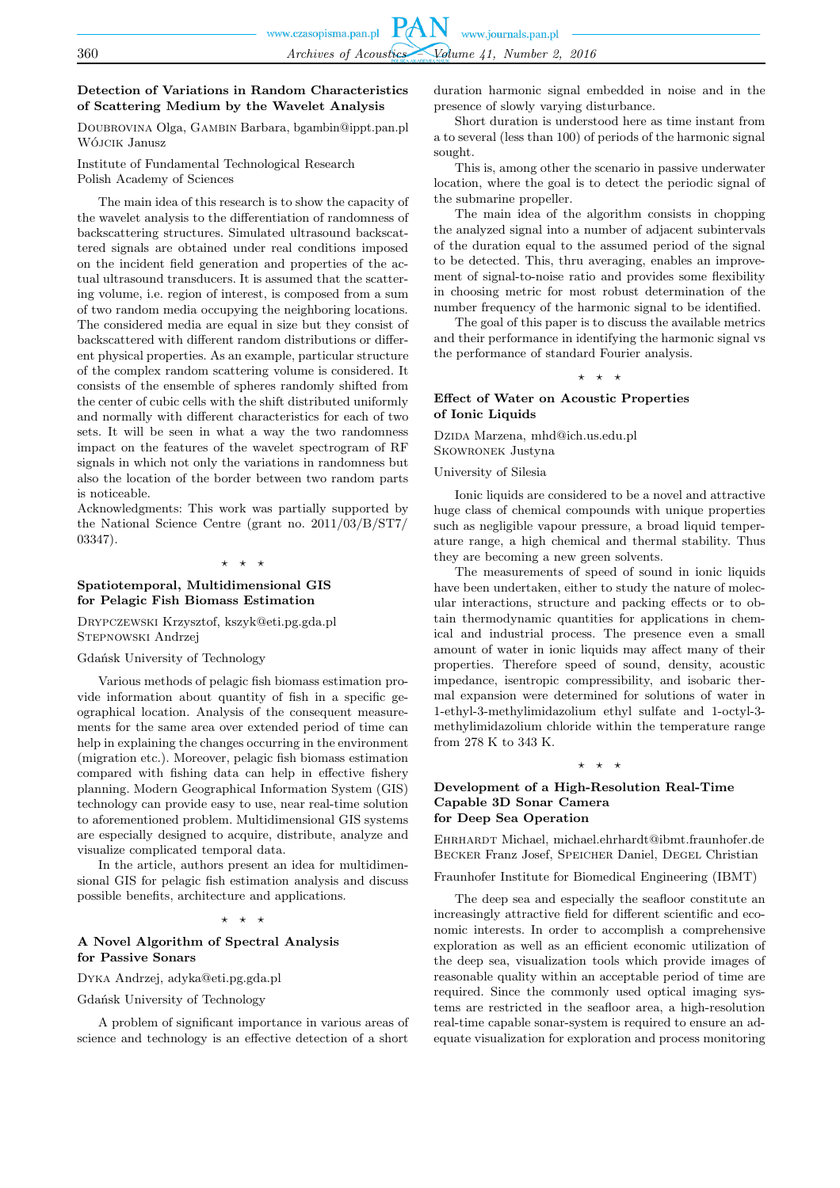# **Detection of Variations in Random Characteristics of Scattering Medium by the Wavelet Analysis**

Doubrovina Olga, Gambin Barbara, bgambin@ippt.pan.pl Wójcik Janusz

Institute of Fundamental Technological Research Polish Academy of Sciences

The main idea of this research is to show the capacity of the wavelet analysis to the differentiation of randomness of backscattering structures. Simulated ultrasound backscattered signals are obtained under real conditions imposed on the incident field generation and properties of the actual ultrasound transducers. It is assumed that the scattering volume, i.e. region of interest, is composed from a sum of two random media occupying the neighboring locations. The considered media are equal in size but they consist of backscattered with different random distributions or different physical properties. As an example, particular structure of the complex random scattering volume is considered. It consists of the ensemble of spheres randomly shifted from the center of cubic cells with the shift distributed uniformly and normally with different characteristics for each of two sets. It will be seen in what a way the two randomness impact on the features of the wavelet spectrogram of RF signals in which not only the variations in randomness but also the location of the border between two random parts is noticeable.

Acknowledgments: This work was partially supported by the National Science Centre (grant no. 2011/03/B/ST7/ 03347).

#### ⋆ ⋆ ⋆

### **Spatiotemporal, Multidimensional GIS for Pelagic Fish Biomass Estimation**

Drypczewski Krzysztof, kszyk@eti.pg.gda.pl Stepnowski Andrzej

#### Gdańsk University of Technology

Various methods of pelagic fish biomass estimation provide information about quantity of fish in a specific geographical location. Analysis of the consequent measurements for the same area over extended period of time can help in explaining the changes occurring in the environment (migration etc.). Moreover, pelagic fish biomass estimation compared with fishing data can help in effective fishery planning. Modern Geographical Information System (GIS) technology can provide easy to use, near real-time solution to aforementioned problem. Multidimensional GIS systems are especially designed to acquire, distribute, analyze and visualize complicated temporal data.

In the article, authors present an idea for multidimensional GIS for pelagic fish estimation analysis and discuss possible benefits, architecture and applications.

#### $\star$   $\star$

#### **A Novel Algorithm of Spectral Analysis for Passive Sonars**

Dyka Andrzej, adyka@eti.pg.gda.pl

Gdańsk University of Technology

A problem of significant importance in various areas of science and technology is an effective detection of a short duration harmonic signal embedded in noise and in the presence of slowly varying disturbance.

Short duration is understood here as time instant from a to several (less than 100) of periods of the harmonic signal sought.

This is, among other the scenario in passive underwater location, where the goal is to detect the periodic signal of the submarine propeller.

The main idea of the algorithm consists in chopping the analyzed signal into a number of adjacent subintervals of the duration equal to the assumed period of the signal to be detected. This, thru averaging, enables an improvement of signal-to-noise ratio and provides some flexibility in choosing metric for most robust determination of the number frequency of the harmonic signal to be identified.

The goal of this paper is to discuss the available metrics and their performance in identifying the harmonic signal vs the performance of standard Fourier analysis.

⋆ ⋆ ⋆

#### **Effect of Water on Acoustic Properties of Ionic Liquids**

Dzina Marzena, mhd@ich.us.edu.pl Skowronek Justyna

#### University of Silesia

Ionic liquids are considered to be a novel and attractive huge class of chemical compounds with unique properties such as negligible vapour pressure, a broad liquid temperature range, a high chemical and thermal stability. Thus they are becoming a new green solvents.

The measurements of speed of sound in ionic liquids have been undertaken, either to study the nature of molecular interactions, structure and packing effects or to obtain thermodynamic quantities for applications in chemical and industrial process. The presence even a small amount of water in ionic liquids may affect many of their properties. Therefore speed of sound, density, acoustic impedance, isentropic compressibility, and isobaric thermal expansion were determined for solutions of water in 1-ethyl-3-methylimidazolium ethyl sulfate and 1-octyl-3 methylimidazolium chloride within the temperature range from  $278~\mathrm{K}$  to  $343~\mathrm{K}.$ 

#### ⋆ ⋆ ⋆

### **Development of a High-Resolution Real-Time Capable 3D Sonar Camera for Deep Sea Operation**

Ehrhardt Michael, michael.ehrhardt@ibmt.fraunhofer.de Becker Franz Josef, Speicher Daniel, Degel Christian

Fraunhofer Institute for Biomedical Engineering (IBMT)

The deep sea and especially the seafloor constitute an increasingly attractive field for different scientific and economic interests. In order to accomplish a comprehensive exploration as well as an efficient economic utilization of the deep sea, visualization tools which provide images of reasonable quality within an acceptable period of time are required. Since the commonly used optical imaging systems are restricted in the seafloor area, a high-resolution real-time capable sonar-system is required to ensure an adequate visualization for exploration and process monitoring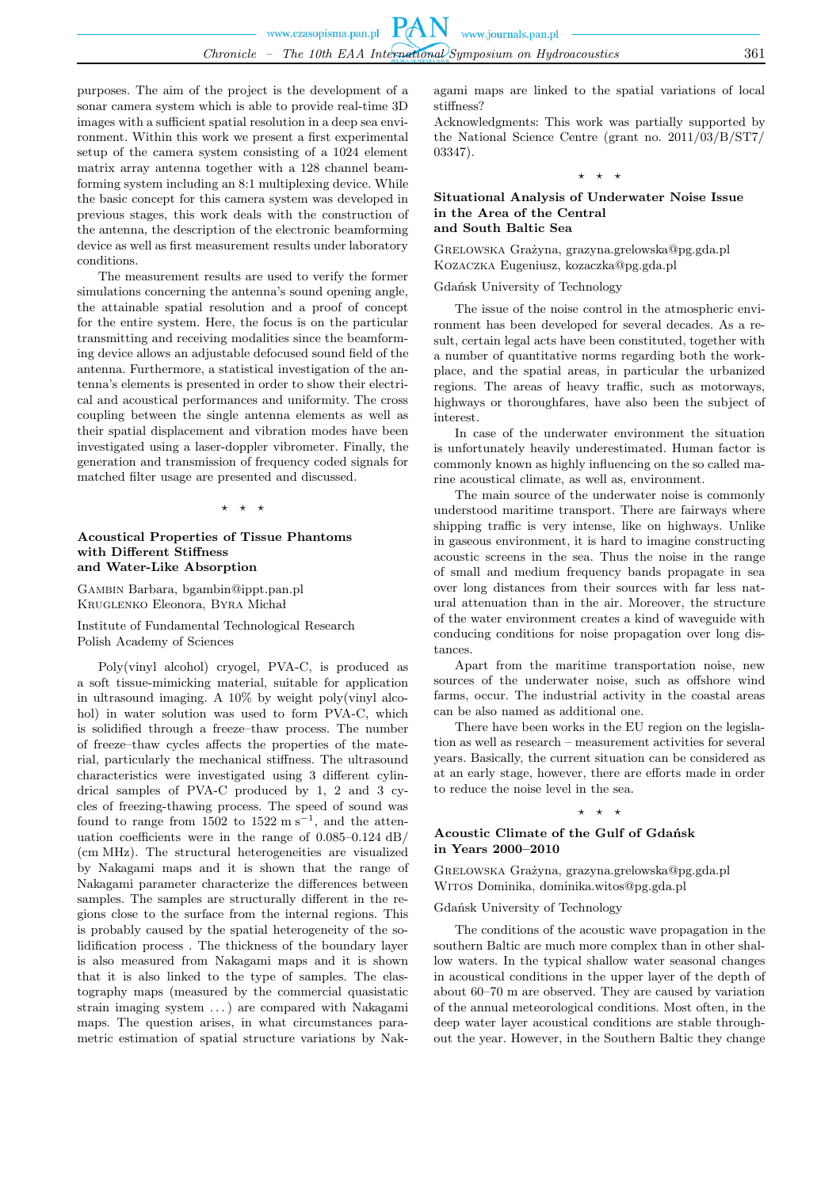purposes. The aim of the project is the development of a sonar camera system which is able to provide real-time 3D images with a sufficient spatial resolution in a deep sea environment. Within this work we present a first experimental setup of the camera system consisting of a 1024 element matrix array antenna together with a 128 channel beamforming system including an 8:1 multiplexing device. While the basic concept for this camera system was developed in previous stages, this work deals with the construction of the antenna, the description of the electronic beamforming device as well as first measurement results under laboratory conditions.

The measurement results are used to verify the former simulations concerning the antenna's sound opening angle, the attainable spatial resolution and a proof of concept for the entire system. Here, the focus is on the particular transmitting and receiving modalities since the beamforming device allows an adjustable defocused sound field of the antenna. Furthermore, a statistical investigation of the antenna's elements is presented in order to show their electrical and acoustical performances and uniformity. The cross coupling between the single antenna elements as well as their spatial displacement and vibration modes have been investigated using a laser-doppler vibrometer. Finally, the generation and transmission of frequency coded signals for matched filter usage are presented and discussed.

#### $\star$   $\star$

### **Acoustical Properties of Tissue Phantoms with Different Stiffness and Water-Like Absorption**

Gambin Barbara, bgambin@ippt.pan.pl Kruglenko Eleonora, Byra Michał

Institute of Fundamental Technological Research Polish Academy of Sciences

Poly(vinyl alcohol) cryogel, PVA-C, is produced as a soft tissue-mimicking material, suitable for application in ultrasound imaging. A 10% by weight poly(vinyl alcohol) in water solution was used to form PVA-C, which is solidified through a freeze–thaw process. The number of freeze–thaw cycles affects the properties of the material, particularly the mechanical stiffness. The ultrasound characteristics were investigated using 3 different cylindrical samples of PVA-C produced by 1, 2 and 3 cycles of freezing-thawing process. The speed of sound was found to range from  $1502$  to  $1522 \text{ m s}^{-1}$ , and the attenuation coefficients were in the range of  $0.085\text{--}0.124\ \mathrm{dB}/$ (cm MHz). The structural heterogeneities are visualized by Nakagami maps and it is shown that the range of Nakagami parameter characterize the differences between samples. The samples are structurally different in the regions close to the surface from the internal regions. This is probably caused by the spatial heterogeneity of the solidification process . The thickness of the boundary layer is also measured from Nakagami maps and it is shown that it is also linked to the type of samples. The elastography maps (measured by the commercial quasistatic strain imaging system . . . ) are compared with Nakagami maps. The question arises, in what circumstances parametric estimation of spatial structure variations by Nak-

agami maps are linked to the spatial variations of local stiffness?

Acknowledgments: This work was partially supported by the National Science Centre (grant no. 2011/03/B/ST7/ 03347).

 $\star$   $\star$ 

### **Situational Analysis of Underwater Noise Issue in the Area of the Central and South Baltic Sea**

Grelowska Grażyna, grazyna.grelowska@pg.gda.pl Kozaczka Eugeniusz, kozaczka@pg.gda.pl

Gdańsk University of Technology

The issue of the noise control in the atmospheric environment has been developed for several decades. As a result, certain legal acts have been constituted, together with a number of quantitative norms regarding both the workplace, and the spatial areas, in particular the urbanized regions. The areas of heavy traffic, such as motorways, highways or thoroughfares, have also been the subject of interest.

In case of the underwater environment the situation is unfortunately heavily underestimated. Human factor is commonly known as highly influencing on the so called marine acoustical climate, as well as, environment.

The main source of the underwater noise is commonly understood maritime transport. There are fairways where shipping traffic is very intense, like on highways. Unlike in gaseous environment, it is hard to imagine constructing acoustic screens in the sea. Thus the noise in the range of small and medium frequency bands propagate in sea over long distances from their sources with far less natural attenuation than in the air. Moreover, the structure of the water environment creates a kind of waveguide with conducing conditions for noise propagation over long distances.

Apart from the maritime transportation noise, new sources of the underwater noise, such as offshore wind farms, occur. The industrial activity in the coastal areas can be also named as additional one.

There have been works in the EU region on the legislation as well as research – measurement activities for several years. Basically, the current situation can be considered as at an early stage, however, there are efforts made in order to reduce the noise level in the sea.

### ⋆ ⋆ ⋆

# **Acoustic Climate of the Gulf of Gdańsk in Years 2000–2010**

Grelowska Grażyna, grazyna.grelowska@pg.gda.pl Witos Dominika, dominika.witos@pg.gda.pl

Gdańsk University of Technology

The conditions of the acoustic wave propagation in the southern Baltic are much more complex than in other shallow waters. In the typical shallow water seasonal changes in acoustical conditions in the upper layer of the depth of about 60–70 m are observed. They are caused by variation of the annual meteorological conditions. Most often, in the deep water layer acoustical conditions are stable throughout the year. However, in the Southern Baltic they change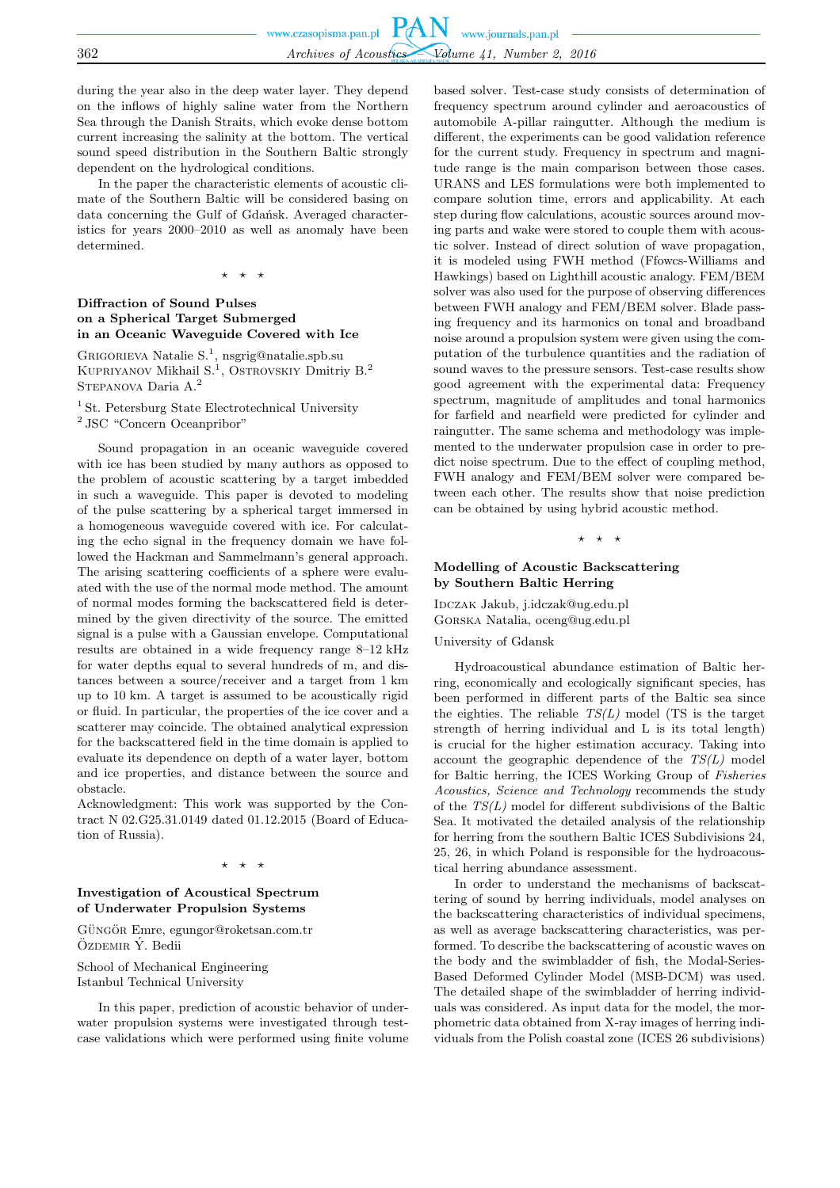during the year also in the deep water layer. They depend on the inflows of highly saline water from the Northern Sea through the Danish Straits, which evoke dense bottom current increasing the salinity at the bottom. The vertical sound speed distribution in the Southern Baltic strongly dependent on the hydrological conditions.

In the paper the characteristic elements of acoustic climate of the Southern Baltic will be considered basing on data concerning the Gulf of Gdańsk. Averaged characteristics for years 2000–2010 as well as anomaly have been determined.

⋆ ⋆ ⋆

# **Diffraction of Sound Pulses on a Spherical Target Submerged in an Oceanic Waveguide Covered with Ice**

GRIGORIEVA Natalie S.<sup>1</sup>, nsgrig@natalie.spb.su KUPRIYANOV Mikhail S.<sup>1</sup>, OSTROVSKIY Dmitriy B.<sup>2</sup>  $\operatorname{Strepanova}$ Daria $\mathrm{A}.^2$ 

<sup>1</sup> St. Petersburg State Electrotechnical University

<sup>2</sup> JSC "Concern Oceanpribor"

Sound propagation in an oceanic waveguide covered with ice has been studied by many authors as opposed to the problem of acoustic scattering by a target imbedded in such a waveguide. This paper is devoted to modeling of the pulse scattering by a spherical target immersed in a homogeneous waveguide covered with ice. For calculating the echo signal in the frequency domain we have followed the Hackman and Sammelmann's general approach. The arising scattering coefficients of a sphere were evaluated with the use of the normal mode method. The amount of normal modes forming the backscattered field is determined by the given directivity of the source. The emitted signal is a pulse with a Gaussian envelope. Computational results are obtained in a wide frequency range 8–12 kHz for water depths equal to several hundreds of m, and distances between a source/receiver and a target from 1 km up to 10 km. A target is assumed to be acoustically rigid or fluid. In particular, the properties of the ice cover and a scatterer may coincide. The obtained analytical expression for the backscattered field in the time domain is applied to evaluate its dependence on depth of a water layer, bottom and ice properties, and distance between the source and obstacle.

Acknowledgment: This work was supported by the Contract N 02.G25.31.0149 dated 01.12.2015 (Board of Education of Russia).

 $\overline{\phantom{a}}$ 

# **Investigation of Acoustical Spectrum of Underwater Propulsion Systems**

GÜNGÖR Emre, egungor@roketsan.com.tr ÖZDEMIR Ý. Bedii

School of Mechanical Engineering Istanbul Technical University

In this paper, prediction of acoustic behavior of underwater propulsion systems were investigated through testcase validations which were performed using finite volume

based solver. Test-case study consists of determination of frequency spectrum around cylinder and aeroacoustics of automobile A-pillar raingutter. Although the medium is different, the experiments can be good validation reference for the current study. Frequency in spectrum and magnitude range is the main comparison between those cases. URANS and LES formulations were both implemented to compare solution time, errors and applicability. At each step during flow calculations, acoustic sources around moving parts and wake were stored to couple them with acoustic solver. Instead of direct solution of wave propagation, it is modeled using FWH method (Ffowcs-Williams and Hawkings) based on Lighthill acoustic analogy. FEM/BEM solver was also used for the purpose of observing differences between FWH analogy and FEM/BEM solver. Blade passing frequency and its harmonics on tonal and broadband noise around a propulsion system were given using the computation of the turbulence quantities and the radiation of sound waves to the pressure sensors. Test-case results show good agreement with the experimental data: Frequency spectrum, magnitude of amplitudes and tonal harmonics for farfield and nearfield were predicted for cylinder and raingutter. The same schema and methodology was implemented to the underwater propulsion case in order to predict noise spectrum. Due to the effect of coupling method, FWH analogy and FEM/BEM solver were compared between each other. The results show that noise prediction can be obtained by using hybrid acoustic method.

⋆ ⋆ ⋆

# **Modelling of Acoustic Backscattering by Southern Baltic Herring**

Idczak Jakub, j.idczak@ug.edu.pl Gorska Natalia, oceng@ug.edu.pl

#### University of Gdansk

Hydroacoustical abundance estimation of Baltic herring, economically and ecologically significant species, has been performed in different parts of the Baltic sea since the eighties. The reliable  $TS(L)$  model (TS is the target strength of herring individual and L is its total length) is crucial for the higher estimation accuracy. Taking into account the geographic dependence of the *TS(L)* model for Baltic herring, the ICES Working Group of *Fisheries Acoustics, Science and Technology* recommends the study of the *TS(L)* model for different subdivisions of the Baltic Sea. It motivated the detailed analysis of the relationship for herring from the southern Baltic ICES Subdivisions 24, 25, 26, in which Poland is responsible for the hydroacoustical herring abundance assessment.

In order to understand the mechanisms of backscattering of sound by herring individuals, model analyses on the backscattering characteristics of individual specimens, as well as average backscattering characteristics, was performed. To describe the backscattering of acoustic waves on the body and the swimbladder of fish, the Modal-Series-Based Deformed Cylinder Model (MSB-DCM) was used. The detailed shape of the swimbladder of herring individuals was considered. As input data for the model, the morphometric data obtained from X-ray images of herring individuals from the Polish coastal zone (ICES 26 subdivisions)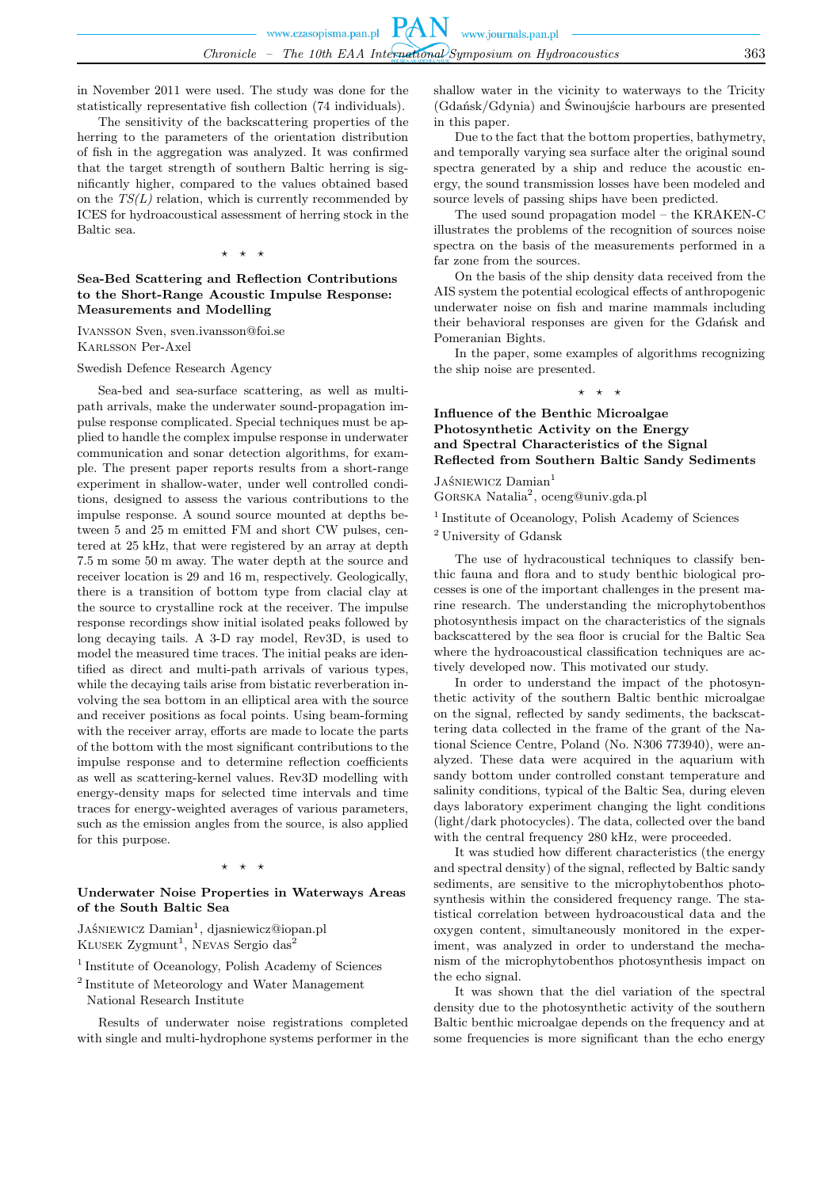in November 2011 were used. The study was done for the statistically representative fish collection (74 individuals).

The sensitivity of the backscattering properties of the herring to the parameters of the orientation distribution of fish in the aggregation was analyzed. It was confirmed that the target strength of southern Baltic herring is significantly higher, compared to the values obtained based on the *TS(L)* relation, which is currently recommended by ICES for hydroacoustical assessment of herring stock in the Baltic sea.

 $\star$   $\star$ 

# **Sea-Bed Scattering and Reflection Contributions to the Short-Range Acoustic Impulse Response: Measurements and Modelling**

Ivansson Sven, sven.ivansson@foi.se Karlsson Per-Axel

Swedish Defence Research Agency

Sea-bed and sea-surface scattering, as well as multipath arrivals, make the underwater sound-propagation impulse response complicated. Special techniques must be applied to handle the complex impulse response in underwater communication and sonar detection algorithms, for example. The present paper reports results from a short-range experiment in shallow-water, under well controlled conditions, designed to assess the various contributions to the impulse response. A sound source mounted at depths between 5 and 25 m emitted FM and short CW pulses, centered at 25 kHz, that were registered by an array at depth 7.5 m some 50 m away. The water depth at the source and receiver location is 29 and 16 m, respectively. Geologically, there is a transition of bottom type from clacial clay at the source to crystalline rock at the receiver. The impulse response recordings show initial isolated peaks followed by long decaying tails. A 3-D ray model, Rev3D, is used to model the measured time traces. The initial peaks are identified as direct and multi-path arrivals of various types, while the decaying tails arise from bistatic reverberation involving the sea bottom in an elliptical area with the source and receiver positions as focal points. Using beam-forming with the receiver array, efforts are made to locate the parts of the bottom with the most significant contributions to the impulse response and to determine reflection coefficients as well as scattering-kernel values. Rev3D modelling with energy-density maps for selected time intervals and time traces for energy-weighted averages of various parameters, such as the emission angles from the source, is also applied for this purpose.

#### $\star$   $\star$

#### **Underwater Noise Properties in Waterways Areas of the South Baltic Sea**

Jaśniewicz Damian<sup>1</sup>, djasniewicz@iopan.pl KLUSEK  $\mathrm{Zygmunt}^1$ , Nevas Sergio das<sup>2</sup>

<sup>1</sup> Institute of Oceanology, Polish Academy of Sciences

<sup>2</sup> Institute of Meteorology and Water Management

National Research Institute

Results of underwater noise registrations completed with single and multi-hydrophone systems performer in the shallow water in the vicinity to waterways to the Tricity (Gdańsk/Gdynia) and Świnoujście harbours are presented in this paper.

Due to the fact that the bottom properties, bathymetry, and temporally varying sea surface alter the original sound spectra generated by a ship and reduce the acoustic energy, the sound transmission losses have been modeled and source levels of passing ships have been predicted.

The used sound propagation model – the KRAKEN-C illustrates the problems of the recognition of sources noise spectra on the basis of the measurements performed in a far zone from the sources.

On the basis of the ship density data received from the AIS system the potential ecological effects of anthropogenic underwater noise on fish and marine mammals including their behavioral responses are given for the Gdańsk and Pomeranian Bights.

In the paper, some examples of algorithms recognizing the ship noise are presented.

#### $\star$   $\star$

# **Influence of the Benthic Microalgae Photosynthetic Activity on the Energy and Spectral Characteristics of the Signal Reflected from Southern Baltic Sandy Sediments**

JAŚNIEWICZ Damian<sup>1</sup>

GORSKA Natalia<sup>2</sup>, oceng@univ.gda.pl

<sup>1</sup> Institute of Oceanology, Polish Academy of Sciences <sup>2</sup> University of Gdansk

The use of hydracoustical techniques to classify benthic fauna and flora and to study benthic biological processes is one of the important challenges in the present marine research. The understanding the microphytobenthos photosynthesis impact on the characteristics of the signals backscattered by the sea floor is crucial for the Baltic Sea where the hydroacoustical classification techniques are actively developed now. This motivated our study.

In order to understand the impact of the photosynthetic activity of the southern Baltic benthic microalgae on the signal, reflected by sandy sediments, the backscattering data collected in the frame of the grant of the National Science Centre, Poland (No. N306 773940), were analyzed. These data were acquired in the aquarium with sandy bottom under controlled constant temperature and salinity conditions, typical of the Baltic Sea, during eleven days laboratory experiment changing the light conditions (light/dark photocycles). The data, collected over the band with the central frequency 280 kHz, were proceeded.

It was studied how different characteristics (the energy and spectral density) of the signal, reflected by Baltic sandy sediments, are sensitive to the microphytobenthos photosynthesis within the considered frequency range. The statistical correlation between hydroacoustical data and the oxygen content, simultaneously monitored in the experiment, was analyzed in order to understand the mechanism of the microphytobenthos photosynthesis impact on the echo signal.

It was shown that the diel variation of the spectral density due to the photosynthetic activity of the southern Baltic benthic microalgae depends on the frequency and at some frequencies is more significant than the echo energy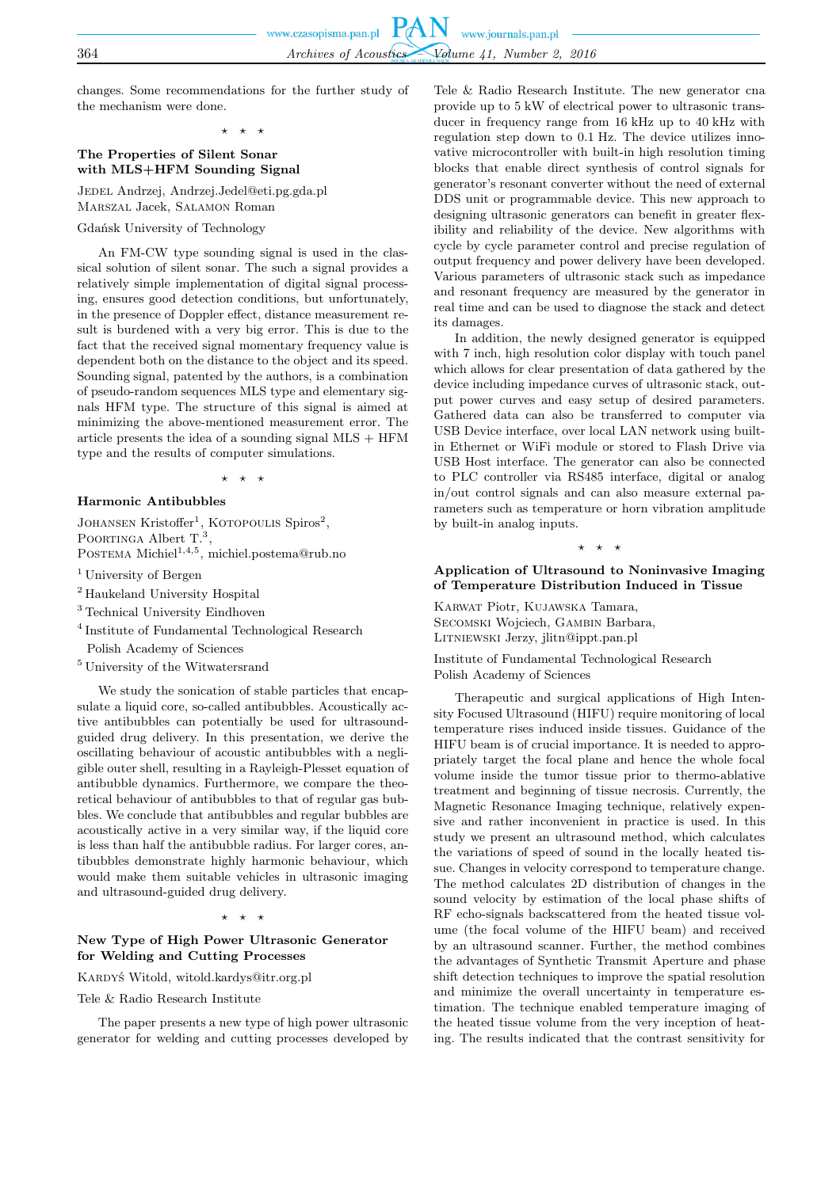changes. Some recommendations for the further study of the mechanism were done.

⋆ ⋆ ⋆

# **The Properties of Silent Sonar with MLS+HFM Sounding Signal**

Jedel Andrzej, Andrzej.Jedel@eti.pg.gda.pl Marszal Jacek, Salamon Roman

Gdańsk University of Technology

An FM-CW type sounding signal is used in the classical solution of silent sonar. The such a signal provides a relatively simple implementation of digital signal processing, ensures good detection conditions, but unfortunately, in the presence of Doppler effect, distance measurement result is burdened with a very big error. This is due to the fact that the received signal momentary frequency value is dependent both on the distance to the object and its speed. Sounding signal, patented by the authors, is a combination of pseudo-random sequences MLS type and elementary signals HFM type. The structure of this signal is aimed at minimizing the above-mentioned measurement error. The article presents the idea of a sounding signal  $MLS + HFM$ type and the results of computer simulations.

⋆ ⋆ ⋆

# **Harmonic Antibubbles**

JOHANSEN Kristoffer<sup>1</sup>, KOTOPOULIS Spiros<sup>2</sup>, POORTINGA Albert  $T.^3$ ,

POSTEMA Michiel<sup>1,4,5</sup>, michiel.postema@rub.no

- <sup>1</sup> University of Bergen
- <sup>2</sup> Haukeland University Hospital
- <sup>3</sup> Technical University Eindhoven
- 4 Institute of Fundamental Technological Research Polish Academy of Sciences
- <sup>5</sup> University of the Witwatersrand

We study the sonication of stable particles that encapsulate a liquid core, so-called antibubbles. Acoustically active antibubbles can potentially be used for ultrasoundguided drug delivery. In this presentation, we derive the oscillating behaviour of acoustic antibubbles with a negligible outer shell, resulting in a Rayleigh-Plesset equation of antibubble dynamics. Furthermore, we compare the theoretical behaviour of antibubbles to that of regular gas bubbles. We conclude that antibubbles and regular bubbles are acoustically active in a very similar way, if the liquid core is less than half the antibubble radius. For larger cores, antibubbles demonstrate highly harmonic behaviour, which would make them suitable vehicles in ultrasonic imaging and ultrasound-guided drug delivery.

⋆ ⋆ ⋆

# **New Type of High Power Ultrasonic Generator for Welding and Cutting Processes**

Kardyś Witold, witold.kardys@itr.org.pl

Tele & Radio Research Institute

The paper presents a new type of high power ultrasonic generator for welding and cutting processes developed by

Tele & Radio Research Institute. The new generator cna provide up to 5 kW of electrical power to ultrasonic transducer in frequency range from 16 kHz up to 40 kHz with regulation step down to 0.1 Hz. The device utilizes innovative microcontroller with built-in high resolution timing blocks that enable direct synthesis of control signals for generator's resonant converter without the need of external DDS unit or programmable device. This new approach to designing ultrasonic generators can benefit in greater flexibility and reliability of the device. New algorithms with cycle by cycle parameter control and precise regulation of output frequency and power delivery have been developed. Various parameters of ultrasonic stack such as impedance and resonant frequency are measured by the generator in real time and can be used to diagnose the stack and detect its damages.

In addition, the newly designed generator is equipped with 7 inch, high resolution color display with touch panel which allows for clear presentation of data gathered by the device including impedance curves of ultrasonic stack, output power curves and easy setup of desired parameters. Gathered data can also be transferred to computer via USB Device interface, over local LAN network using builtin Ethernet or WiFi module or stored to Flash Drive via USB Host interface. The generator can also be connected to PLC controller via RS485 interface, digital or analog in/out control signals and can also measure external parameters such as temperature or horn vibration amplitude by built-in analog inputs.

 $\star$ 

### **Application of Ultrasound to Noninvasive Imaging of Temperature Distribution Induced in Tissue**

Karwat Piotr, Kujawska Tamara, SECOMSKI Wojciech, GAMBIN Barbara, Litniewski Jerzy, jlitn@ippt.pan.pl

Institute of Fundamental Technological Research Polish Academy of Sciences

Therapeutic and surgical applications of High Intensity Focused Ultrasound (HIFU) require monitoring of local temperature rises induced inside tissues. Guidance of the HIFU beam is of crucial importance. It is needed to appropriately target the focal plane and hence the whole focal volume inside the tumor tissue prior to thermo-ablative treatment and beginning of tissue necrosis. Currently, the Magnetic Resonance Imaging technique, relatively expensive and rather inconvenient in practice is used. In this study we present an ultrasound method, which calculates the variations of speed of sound in the locally heated tissue. Changes in velocity correspond to temperature change. The method calculates 2D distribution of changes in the sound velocity by estimation of the local phase shifts of RF echo-signals backscattered from the heated tissue volume (the focal volume of the HIFU beam) and received by an ultrasound scanner. Further, the method combines the advantages of Synthetic Transmit Aperture and phase shift detection techniques to improve the spatial resolution and minimize the overall uncertainty in temperature estimation. The technique enabled temperature imaging of the heated tissue volume from the very inception of heating. The results indicated that the contrast sensitivity for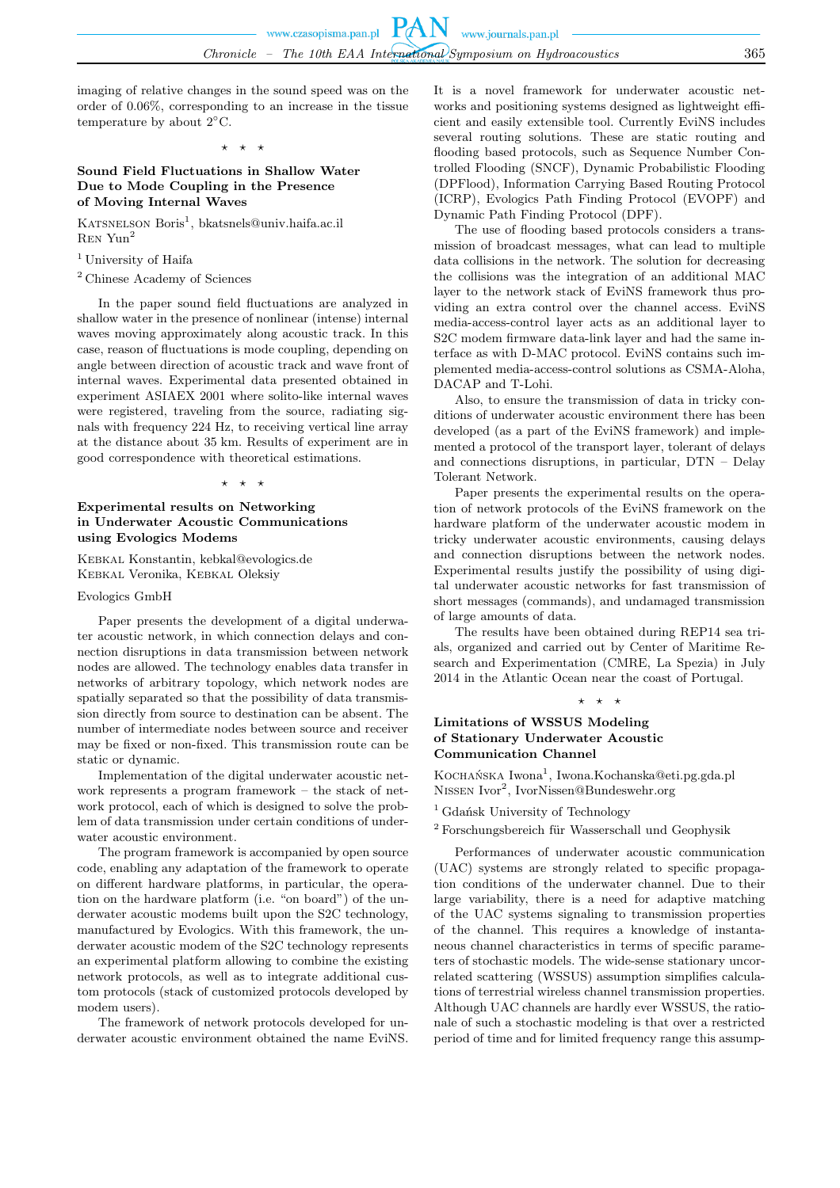imaging of relative changes in the sound speed was on the order of 0.06%, corresponding to an increase in the tissue temperature by about 2◦C.

# $\star$   $\star$

### **Sound Field Fluctuations in Shallow Water Due to Mode Coupling in the Presence of Moving Internal Waves**

KATSNELSON Boris<sup>1</sup>, bkatsnels@univ.haifa.ac.il Ren Yun<sup>2</sup>

- <sup>1</sup> University of Haifa
- <sup>2</sup> Chinese Academy of Sciences

In the paper sound field fluctuations are analyzed in shallow water in the presence of nonlinear (intense) internal waves moving approximately along acoustic track. In this case, reason of fluctuations is mode coupling, depending on angle between direction of acoustic track and wave front of internal waves. Experimental data presented obtained in experiment ASIAEX 2001 where solito-like internal waves were registered, traveling from the source, radiating signals with frequency 224 Hz, to receiving vertical line array at the distance about 35 km. Results of experiment are in good correspondence with theoretical estimations.

⋆ ⋆ ⋆

# **Experimental results on Networking in Underwater Acoustic Communications using Evologics Modems**

Kebkal Konstantin, kebkal@evologics.de Kebkal Veronika, Kebkal Oleksiy

#### Evologics GmbH

Paper presents the development of a digital underwater acoustic network, in which connection delays and connection disruptions in data transmission between network nodes are allowed. The technology enables data transfer in networks of arbitrary topology, which network nodes are spatially separated so that the possibility of data transmission directly from source to destination can be absent. The number of intermediate nodes between source and receiver may be fixed or non-fixed. This transmission route can be static or dynamic.

Implementation of the digital underwater acoustic network represents a program framework – the stack of network protocol, each of which is designed to solve the problem of data transmission under certain conditions of underwater acoustic environment.

The program framework is accompanied by open source code, enabling any adaptation of the framework to operate on different hardware platforms, in particular, the operation on the hardware platform (i.e. "on board") of the underwater acoustic modems built upon the S2C technology, manufactured by Evologics. With this framework, the underwater acoustic modem of the S2C technology represents an experimental platform allowing to combine the existing network protocols, as well as to integrate additional custom protocols (stack of customized protocols developed by modem users).

The framework of network protocols developed for underwater acoustic environment obtained the name EviNS. It is a novel framework for underwater acoustic networks and positioning systems designed as lightweight efficient and easily extensible tool. Currently EviNS includes several routing solutions. These are static routing and flooding based protocols, such as Sequence Number Controlled Flooding (SNCF), Dynamic Probabilistic Flooding (DPFlood), Information Carrying Based Routing Protocol (ICRP), Evologics Path Finding Protocol (EVOPF) and Dynamic Path Finding Protocol (DPF).

The use of flooding based protocols considers a transmission of broadcast messages, what can lead to multiple data collisions in the network. The solution for decreasing the collisions was the integration of an additional MAC layer to the network stack of EviNS framework thus providing an extra control over the channel access. EviNS media-access-control layer acts as an additional layer to S2C modem firmware data-link layer and had the same interface as with D-MAC protocol. EviNS contains such implemented media-access-control solutions as CSMA-Aloha, DACAP and T-Lohi.

Also, to ensure the transmission of data in tricky conditions of underwater acoustic environment there has been developed (as a part of the EviNS framework) and implemented a protocol of the transport layer, tolerant of delays and connections disruptions, in particular, DTN – Delay Tolerant Network.

Paper presents the experimental results on the operation of network protocols of the EviNS framework on the hardware platform of the underwater acoustic modem in tricky underwater acoustic environments, causing delays and connection disruptions between the network nodes. Experimental results justify the possibility of using digital underwater acoustic networks for fast transmission of short messages (commands), and undamaged transmission of large amounts of data.

The results have been obtained during REP14 sea trials, organized and carried out by Center of Maritime Research and Experimentation (CMRE, La Spezia) in July 2014 in the Atlantic Ocean near the coast of Portugal.

 $\star$   $\star$   $\star$ 

# **Limitations of WSSUS Modeling of Stationary Underwater Acoustic Communication Channel**

Kocна́nska Iwona<sup>1</sup>, Iwona.Kochanska@eti.pg.gda.pl NISSEN Ivor<sup>2</sup>, IvorNissen@Bundeswehr.org

<sup>1</sup> Gdańsk University of Technology

 $2$  Forschungsbereich für Wasserschall und Geophysik

Performances of underwater acoustic communication (UAC) systems are strongly related to specific propagation conditions of the underwater channel. Due to their large variability, there is a need for adaptive matching of the UAC systems signaling to transmission properties of the channel. This requires a knowledge of instantaneous channel characteristics in terms of specific parameters of stochastic models. The wide-sense stationary uncorrelated scattering (WSSUS) assumption simplifies calculations of terrestrial wireless channel transmission properties. Although UAC channels are hardly ever WSSUS, the rationale of such a stochastic modeling is that over a restricted period of time and for limited frequency range this assump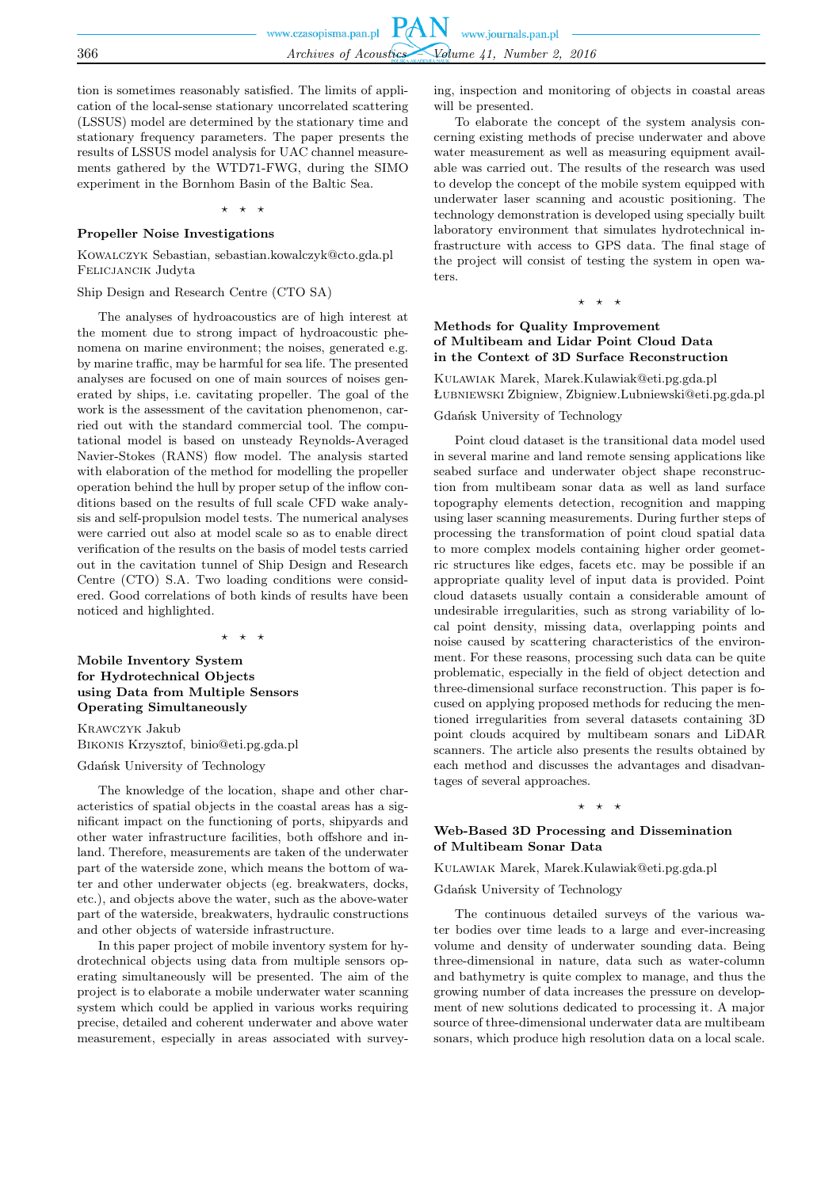tion is sometimes reasonably satisfied. The limits of application of the local-sense stationary uncorrelated scattering (LSSUS) model are determined by the stationary time and stationary frequency parameters. The paper presents the results of LSSUS model analysis for UAC channel measurements gathered by the WTD71-FWG, during the SIMO experiment in the Bornhom Basin of the Baltic Sea.

⋆ ⋆ ⋆

#### **Propeller Noise Investigations**

Kowalczyk Sebastian, sebastian.kowalczyk@cto.gda.pl Felicjancik Judyta

Ship Design and Research Centre (CTO SA)

The analyses of hydroacoustics are of high interest at the moment due to strong impact of hydroacoustic phenomena on marine environment; the noises, generated e.g. by marine traffic, may be harmful for sea life. The presented analyses are focused on one of main sources of noises generated by ships, i.e. cavitating propeller. The goal of the work is the assessment of the cavitation phenomenon, carried out with the standard commercial tool. The computational model is based on unsteady Reynolds-Averaged Navier-Stokes (RANS) flow model. The analysis started with elaboration of the method for modelling the propeller operation behind the hull by proper setup of the inflow conditions based on the results of full scale CFD wake analysis and self-propulsion model tests. The numerical analyses were carried out also at model scale so as to enable direct verification of the results on the basis of model tests carried out in the cavitation tunnel of Ship Design and Research Centre (CTO) S.A. Two loading conditions were considered. Good correlations of both kinds of results have been noticed and highlighted.

⋆ ⋆ ⋆

## **Mobile Inventory System for Hydrotechnical Objects using Data from Multiple Sensors Operating Simultaneously**

Krawczyk Jakub Bikonis Krzysztof, binio@eti.pg.gda.pl

Gdańsk University of Technology

The knowledge of the location, shape and other characteristics of spatial objects in the coastal areas has a significant impact on the functioning of ports, shipyards and other water infrastructure facilities, both offshore and inland. Therefore, measurements are taken of the underwater part of the waterside zone, which means the bottom of water and other underwater objects (eg. breakwaters, docks, etc.), and objects above the water, such as the above-water part of the waterside, breakwaters, hydraulic constructions and other objects of waterside infrastructure.

In this paper project of mobile inventory system for hydrotechnical objects using data from multiple sensors operating simultaneously will be presented. The aim of the project is to elaborate a mobile underwater water scanning system which could be applied in various works requiring precise, detailed and coherent underwater and above water measurement, especially in areas associated with surveying, inspection and monitoring of objects in coastal areas will be presented.

To elaborate the concept of the system analysis concerning existing methods of precise underwater and above water measurement as well as measuring equipment available was carried out. The results of the research was used to develop the concept of the mobile system equipped with underwater laser scanning and acoustic positioning. The technology demonstration is developed using specially built laboratory environment that simulates hydrotechnical infrastructure with access to GPS data. The final stage of the project will consist of testing the system in open waters.

 $\star$   $\star$ 

#### **Methods for Quality Improvement of Multibeam and Lidar Point Cloud Data in the Context of 3D Surface Reconstruction**

Kulawiak Marek, Marek.Kulawiak@eti.pg.gda.pl Łubniewski Zbigniew, Zbigniew.Lubniewski@eti.pg.gda.pl

Gdańsk University of Technology

Point cloud dataset is the transitional data model used in several marine and land remote sensing applications like seabed surface and underwater object shape reconstruction from multibeam sonar data as well as land surface topography elements detection, recognition and mapping using laser scanning measurements. During further steps of processing the transformation of point cloud spatial data to more complex models containing higher order geometric structures like edges, facets etc. may be possible if an appropriate quality level of input data is provided. Point cloud datasets usually contain a considerable amount of undesirable irregularities, such as strong variability of local point density, missing data, overlapping points and noise caused by scattering characteristics of the environment. For these reasons, processing such data can be quite problematic, especially in the field of object detection and three-dimensional surface reconstruction. This paper is focused on applying proposed methods for reducing the mentioned irregularities from several datasets containing 3D point clouds acquired by multibeam sonars and LiDAR scanners. The article also presents the results obtained by each method and discusses the advantages and disadvantages of several approaches.

#### ⋆ ⋆ ⋆

# **Web-Based 3D Processing and Dissemination of Multibeam Sonar Data**

Kulawiak Marek, Marek.Kulawiak@eti.pg.gda.pl

Gdańsk University of Technology

The continuous detailed surveys of the various water bodies over time leads to a large and ever-increasing volume and density of underwater sounding data. Being three-dimensional in nature, data such as water-column and bathymetry is quite complex to manage, and thus the growing number of data increases the pressure on development of new solutions dedicated to processing it. A major source of three-dimensional underwater data are multibeam sonars, which produce high resolution data on a local scale.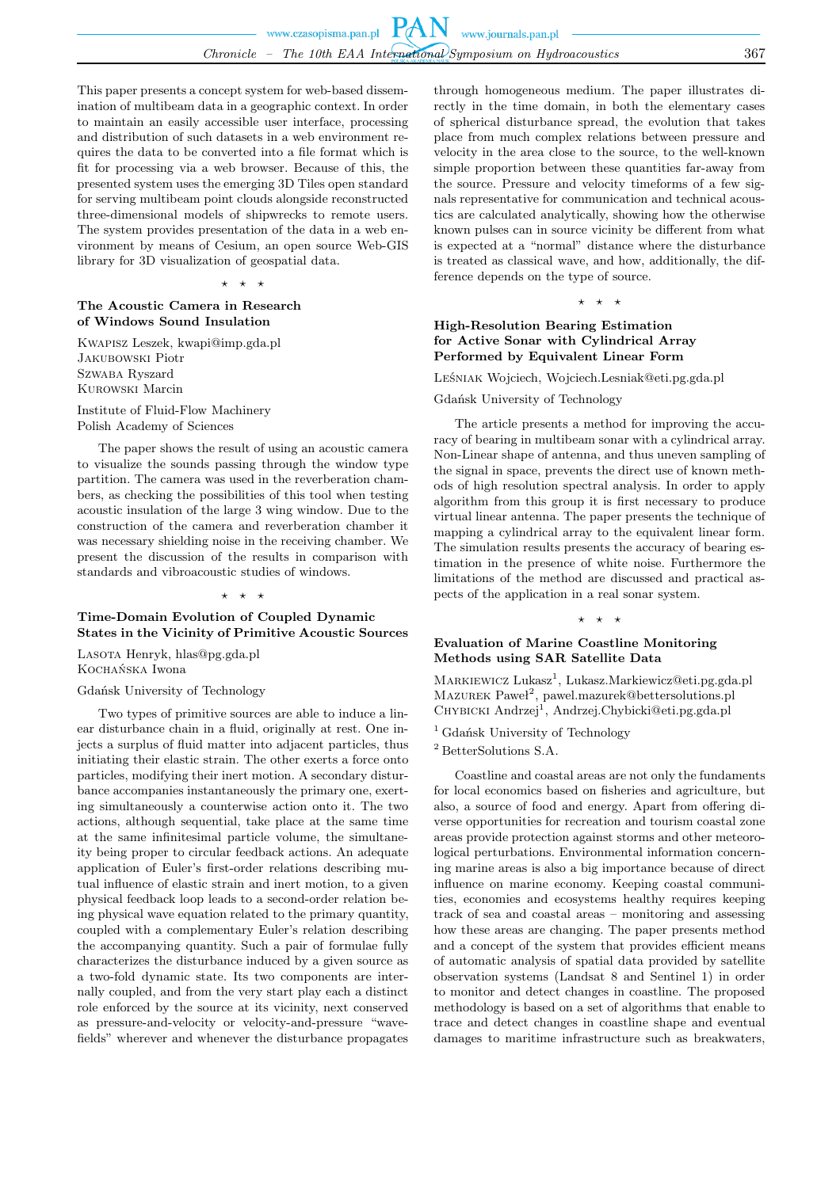This paper presents a concept system for web-based dissemination of multibeam data in a geographic context. In order to maintain an easily accessible user interface, processing and distribution of such datasets in a web environment requires the data to be converted into a file format which is fit for processing via a web browser. Because of this, the presented system uses the emerging 3D Tiles open standard for serving multibeam point clouds alongside reconstructed three-dimensional models of shipwrecks to remote users. The system provides presentation of the data in a web environment by means of Cesium, an open source Web-GIS library for 3D visualization of geospatial data.

⋆ ⋆ ⋆

# **The Acoustic Camera in Research of Windows Sound Insulation**

Kwapisz Leszek, kwapi@imp.gda.pl Jakubowski Piotr Szwaba Ryszard Kurowski Marcin

Institute of Fluid-Flow Machinery Polish Academy of Sciences

The paper shows the result of using an acoustic camera to visualize the sounds passing through the window type partition. The camera was used in the reverberation chambers, as checking the possibilities of this tool when testing acoustic insulation of the large 3 wing window. Due to the construction of the camera and reverberation chamber it was necessary shielding noise in the receiving chamber. We present the discussion of the results in comparison with standards and vibroacoustic studies of windows.

#### ⋆ ⋆ ⋆

### **Time-Domain Evolution of Coupled Dynamic States in the Vicinity of Primitive Acoustic Sources**

Lasota Henryk, hlas@pg.gda.pl Kochańska Iwona

Gdańsk University of Technology

Two types of primitive sources are able to induce a linear disturbance chain in a fluid, originally at rest. One injects a surplus of fluid matter into adjacent particles, thus initiating their elastic strain. The other exerts a force onto particles, modifying their inert motion. A secondary disturbance accompanies instantaneously the primary one, exerting simultaneously a counterwise action onto it. The two actions, although sequential, take place at the same time at the same infinitesimal particle volume, the simultaneity being proper to circular feedback actions. An adequate application of Euler's first-order relations describing mutual influence of elastic strain and inert motion, to a given physical feedback loop leads to a second-order relation being physical wave equation related to the primary quantity, coupled with a complementary Euler's relation describing the accompanying quantity. Such a pair of formulae fully characterizes the disturbance induced by a given source as a two-fold dynamic state. Its two components are internally coupled, and from the very start play each a distinct role enforced by the source at its vicinity, next conserved as pressure-and-velocity or velocity-and-pressure "wavefields" wherever and whenever the disturbance propagates through homogeneous medium. The paper illustrates directly in the time domain, in both the elementary cases of spherical disturbance spread, the evolution that takes place from much complex relations between pressure and velocity in the area close to the source, to the well-known simple proportion between these quantities far-away from the source. Pressure and velocity timeforms of a few signals representative for communication and technical acoustics are calculated analytically, showing how the otherwise known pulses can in source vicinity be different from what is expected at a "normal" distance where the disturbance is treated as classical wave, and how, additionally, the difference depends on the type of source.

⋆ ⋆ ⋆

# **High-Resolution Bearing Estimation for Active Sonar with Cylindrical Array Performed by Equivalent Linear Form**

Leśniak Wojciech, Wojciech.Lesniak@eti.pg.gda.pl

Gdańsk University of Technology

The article presents a method for improving the accuracy of bearing in multibeam sonar with a cylindrical array. Non-Linear shape of antenna, and thus uneven sampling of the signal in space, prevents the direct use of known methods of high resolution spectral analysis. In order to apply algorithm from this group it is first necessary to produce virtual linear antenna. The paper presents the technique of mapping a cylindrical array to the equivalent linear form. The simulation results presents the accuracy of bearing estimation in the presence of white noise. Furthermore the limitations of the method are discussed and practical aspects of the application in a real sonar system.

#### ⋆ ⋆ ⋆

# **Evaluation of Marine Coastline Monitoring Methods using SAR Satellite Data**

MARKIEWICZ Lukasz<sup>1</sup>, Lukasz.Markiewicz@eti.pg.gda.pl MAZUREK Paweł<sup>2</sup>, pawel.mazurek@bettersolutions.pl CHYBICKI Andrzej<sup>1</sup>, Andrzej.Chybicki@eti.pg.gda.pl

<sup>1</sup> Gdańsk University of Technology

 $^2$  Better<br>Solutions S.A.  $\,$ 

Coastline and coastal areas are not only the fundaments for local economics based on fisheries and agriculture, but also, a source of food and energy. Apart from offering diverse opportunities for recreation and tourism coastal zone areas provide protection against storms and other meteorological perturbations. Environmental information concerning marine areas is also a big importance because of direct influence on marine economy. Keeping coastal communities, economies and ecosystems healthy requires keeping track of sea and coastal areas – monitoring and assessing how these areas are changing. The paper presents method and a concept of the system that provides efficient means of automatic analysis of spatial data provided by satellite observation systems (Landsat 8 and Sentinel 1) in order to monitor and detect changes in coastline. The proposed methodology is based on a set of algorithms that enable to trace and detect changes in coastline shape and eventual damages to maritime infrastructure such as breakwaters,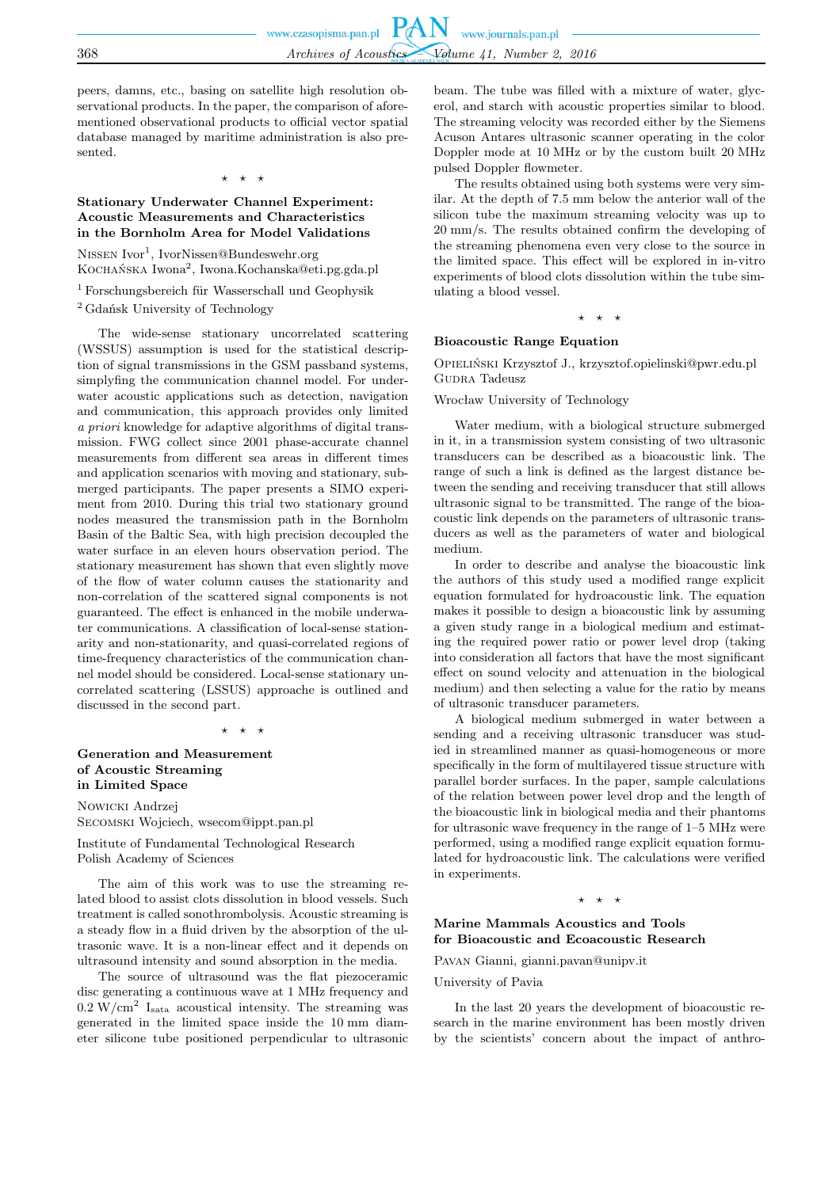peers, damns, etc., basing on satellite high resolution observational products. In the paper, the comparison of aforementioned observational products to official vector spatial database managed by maritime administration is also presented.

⋆ ⋆ ⋆

# **Stationary Underwater Channel Experiment: Acoustic Measurements and Characteristics in the Bornholm Area for Model Validations**

NISSEN Ivor<sup>1</sup>, IvorNissen@Bundeswehr.org Kocна́nska Iwona<sup>2</sup>, Iwona.Kochanska@eti.pg.gda.pl

 $1$  Forschungsbereich für Wasserschall und Geophysik <sup>2</sup> Gdańsk University of Technology

The wide-sense stationary uncorrelated scattering (WSSUS) assumption is used for the statistical description of signal transmissions in the GSM passband systems, simplyfing the communication channel model. For underwater acoustic applications such as detection, navigation and communication, this approach provides only limited *a priori* knowledge for adaptive algorithms of digital transmission. FWG collect since 2001 phase-accurate channel measurements from different sea areas in different times and application scenarios with moving and stationary, submerged participants. The paper presents a SIMO experiment from 2010. During this trial two stationary ground nodes measured the transmission path in the Bornholm Basin of the Baltic Sea, with high precision decoupled the water surface in an eleven hours observation period. The stationary measurement has shown that even slightly move of the flow of water column causes the stationarity and non-correlation of the scattered signal components is not guaranteed. The effect is enhanced in the mobile underwater communications. A classification of local-sense stationarity and non-stationarity, and quasi-correlated regions of time-frequency characteristics of the communication channel model should be considered. Local-sense stationary uncorrelated scattering (LSSUS) approache is outlined and discussed in the second part.

⋆ ⋆ ⋆

# **Generation and Measurement of Acoustic Streaming in Limited Space**

Nowicki Andrzej Secomski Wojciech, wsecom@ippt.pan.pl

Institute of Fundamental Technological Research Polish Academy of Sciences

The aim of this work was to use the streaming related blood to assist clots dissolution in blood vessels. Such treatment is called sonothrombolysis. Acoustic streaming is a steady flow in a fluid driven by the absorption of the ultrasonic wave. It is a non-linear effect and it depends on ultrasound intensity and sound absorption in the media.

The source of ultrasound was the flat piezoceramic disc generating a continuous wave at 1 MHz frequency and  $0.2 \text{ W/cm}^2$  I<sub>sata</sub> acoustical intensity. The streaming was generated in the limited space inside the 10 mm diameter silicone tube positioned perpendicular to ultrasonic beam. The tube was filled with a mixture of water, glycerol, and starch with acoustic properties similar to blood. The streaming velocity was recorded either by the Siemens Acuson Antares ultrasonic scanner operating in the color Doppler mode at 10 MHz or by the custom built 20 MHz pulsed Doppler flowmeter.

The results obtained using both systems were very similar. At the depth of 7.5 mm below the anterior wall of the silicon tube the maximum streaming velocity was up to 20 mm/s. The results obtained confirm the developing of the streaming phenomena even very close to the source in the limited space. This effect will be explored in in-vitro experiments of blood clots dissolution within the tube simulating a blood vessel.

 $\star$   $\star$ 

#### **Bioacoustic Range Equation**

Opieliński Krzysztof J., krzysztof.opielinski@pwr.edu.pl GUDRA Tadeusz

Wrocław University of Technology

Water medium, with a biological structure submerged in it, in a transmission system consisting of two ultrasonic transducers can be described as a bioacoustic link. The range of such a link is defined as the largest distance between the sending and receiving transducer that still allows ultrasonic signal to be transmitted. The range of the bioacoustic link depends on the parameters of ultrasonic transducers as well as the parameters of water and biological medium.

In order to describe and analyse the bioacoustic link the authors of this study used a modified range explicit equation formulated for hydroacoustic link. The equation makes it possible to design a bioacoustic link by assuming a given study range in a biological medium and estimating the required power ratio or power level drop (taking into consideration all factors that have the most significant effect on sound velocity and attenuation in the biological medium) and then selecting a value for the ratio by means of ultrasonic transducer parameters.

A biological medium submerged in water between a sending and a receiving ultrasonic transducer was studied in streamlined manner as quasi-homogeneous or more specifically in the form of multilayered tissue structure with parallel border surfaces. In the paper, sample calculations of the relation between power level drop and the length of the bioacoustic link in biological media and their phantoms for ultrasonic wave frequency in the range of 1–5 MHz were performed, using a modified range explicit equation formulated for hydroacoustic link. The calculations were verified in experiments.

 $\star$   $\star$ 

# **Marine Mammals Acoustics and Tools for Bioacoustic and Ecoacoustic Research**

Pavan Gianni, gianni.pavan@unipv.it

University of Pavia

In the last 20 years the development of bioacoustic research in the marine environment has been mostly driven by the scientists' concern about the impact of anthro-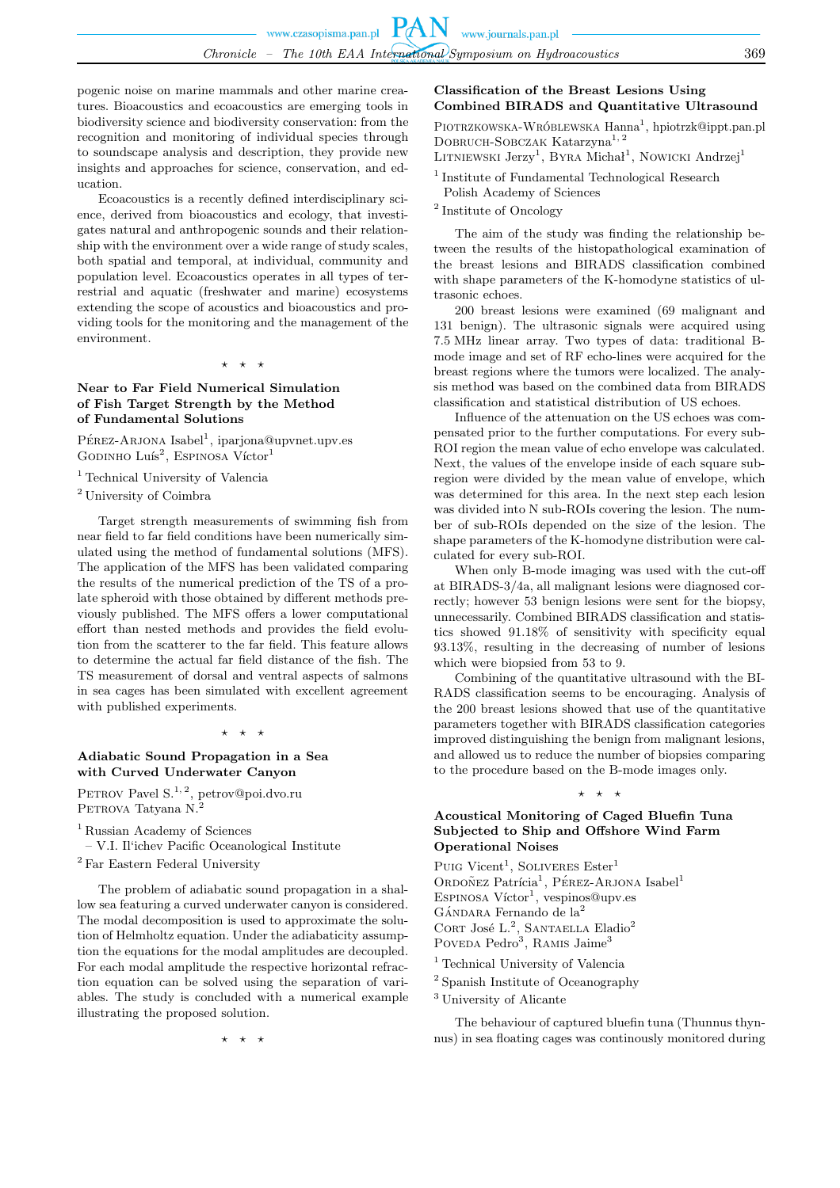pogenic noise on marine mammals and other marine creatures. Bioacoustics and ecoacoustics are emerging tools in biodiversity science and biodiversity conservation: from the recognition and monitoring of individual species through to soundscape analysis and description, they provide new insights and approaches for science, conservation, and education.

Ecoacoustics is a recently defined interdisciplinary science, derived from bioacoustics and ecology, that investigates natural and anthropogenic sounds and their relationship with the environment over a wide range of study scales, both spatial and temporal, at individual, community and population level. Ecoacoustics operates in all types of terrestrial and aquatic (freshwater and marine) ecosystems extending the scope of acoustics and bioacoustics and providing tools for the monitoring and the management of the environment.

 $\star$   $\star$ 

# **Near to Far Field Numerical Simulation of Fish Target Strength by the Method of Fundamental Solutions**

PÉREZ-ARJONA Isabel<sup>1</sup>, iparjona@upvnet.upv.es GODINHO Luís<sup>2</sup>, ESPINOSA Víctor<sup>1</sup>

<sup>1</sup> Technical University of Valencia

<sup>2</sup> University of Coimbra

Target strength measurements of swimming fish from near field to far field conditions have been numerically simulated using the method of fundamental solutions (MFS). The application of the MFS has been validated comparing the results of the numerical prediction of the TS of a prolate spheroid with those obtained by different methods previously published. The MFS offers a lower computational effort than nested methods and provides the field evolution from the scatterer to the far field. This feature allows to determine the actual far field distance of the fish. The TS measurement of dorsal and ventral aspects of salmons in sea cages has been simulated with excellent agreement with published experiments.

 $\rightarrow$ 

# **Adiabatic Sound Propagation in a Sea with Curved Underwater Canyon**

PETROV Pavel S.<sup>1, 2</sup>, petrov@poi.dvo.ru PETROVA Tatyana N.<sup>2</sup>

<sup>1</sup> Russian Academy of Sciences

– V.I. Il'ichev Pacific Oceanological Institute <sup>2</sup> Far Eastern Federal University

The problem of adiabatic sound propagation in a shallow sea featuring a curved underwater canyon is considered. The modal decomposition is used to approximate the solution of Helmholtz equation. Under the adiabaticity assumption the equations for the modal amplitudes are decoupled. For each modal amplitude the respective horizontal refraction equation can be solved using the separation of variables. The study is concluded with a numerical example illustrating the proposed solution.

⋆ ⋆ ⋆

# **Classification of the Breast Lesions Using Combined BIRADS and Quantitative Ultrasound**

PIOTRZKOWSKA-WRÓBLEWSKA Hanna<sup>1</sup>, hpiotrzk@ippt.pan.pl Dobruch-Sobczak Katarzyna<sup>1</sup>, <sup>2</sup>

LITNIEWSKI  $\text{Jerzy}^1$ , BYRA Michał<sup>1</sup>, Nowicki Andrzej<sup>1</sup>

<sup>1</sup> Institute of Fundamental Technological Research Polish Academy of Sciences

2 Institute of Oncology

The aim of the study was finding the relationship between the results of the histopathological examination of the breast lesions and BIRADS classification combined with shape parameters of the K-homodyne statistics of ultrasonic echoes.

200 breast lesions were examined (69 malignant and 131 benign). The ultrasonic signals were acquired using 7.5 MHz linear array. Two types of data: traditional Bmode image and set of RF echo-lines were acquired for the breast regions where the tumors were localized. The analysis method was based on the combined data from BIRADS classification and statistical distribution of US echoes.

Influence of the attenuation on the US echoes was compensated prior to the further computations. For every sub-ROI region the mean value of echo envelope was calculated. Next, the values of the envelope inside of each square subregion were divided by the mean value of envelope, which was determined for this area. In the next step each lesion was divided into N sub-ROIs covering the lesion. The number of sub-ROIs depended on the size of the lesion. The shape parameters of the K-homodyne distribution were calculated for every sub-ROI.

When only B-mode imaging was used with the cut-off at BIRADS-3/4a, all malignant lesions were diagnosed correctly; however 53 benign lesions were sent for the biopsy, unnecessarily. Combined BIRADS classification and statistics showed 91.18% of sensitivity with specificity equal 93.13%, resulting in the decreasing of number of lesions which were biopsied from 53 to 9.

Combining of the quantitative ultrasound with the BI-RADS classification seems to be encouraging. Analysis of the 200 breast lesions showed that use of the quantitative parameters together with BIRADS classification categories improved distinguishing the benign from malignant lesions, and allowed us to reduce the number of biopsies comparing to the procedure based on the B-mode images only.

⋆ ⋆ ⋆

# **Acoustical Monitoring of Caged Bluefin Tuna Subjected to Ship and Offshore Wind Farm Operational Noises**

Puig Vicent<sup>1</sup>, Soliveres Ester<sup>1</sup> ORDOÑEZ Patrícia<sup>1</sup>, PÉREZ-ARJONA Isabel<sup>1</sup> ESPINOSA  $V$ íctor<sup>1</sup>, vespinos@upv.es  $G$ ÁNDARA Fernando de la $^2$ CORT José L.<sup>2</sup>, SANTAELLA Eladio<sup>2</sup> Poveda Pedro<sup>3</sup>, Ramis Jaime<sup>3</sup>

<sup>1</sup> Technical University of Valencia

2 Spanish Institute of Oceanography

<sup>3</sup> University of Alicante

The behaviour of captured bluefin tuna (Thunnus thynnus) in sea floating cages was continously monitored during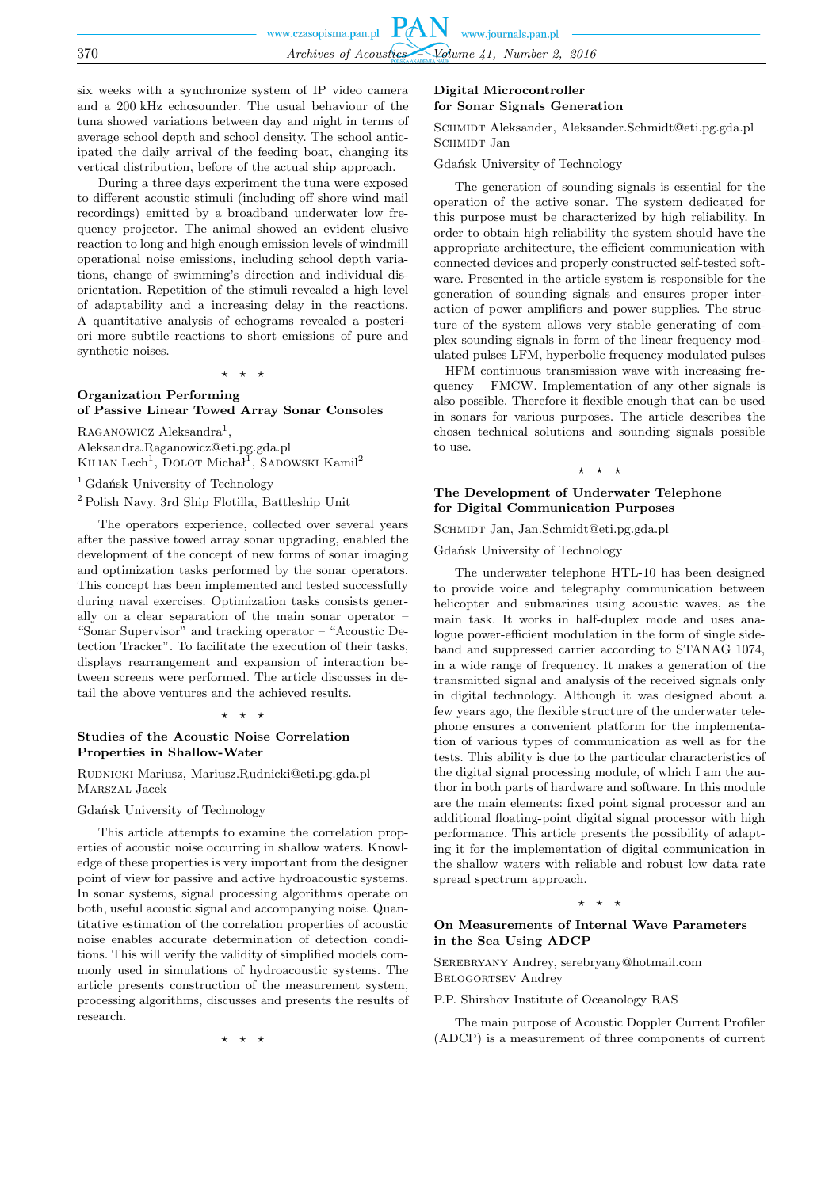six weeks with a synchronize system of IP video camera and a 200 kHz echosounder. The usual behaviour of the tuna showed variations between day and night in terms of average school depth and school density. The school anticipated the daily arrival of the feeding boat, changing its vertical distribution, before of the actual ship approach.

During a three days experiment the tuna were exposed to different acoustic stimuli (including off shore wind mail recordings) emitted by a broadband underwater low frequency projector. The animal showed an evident elusive reaction to long and high enough emission levels of windmill operational noise emissions, including school depth variations, change of swimming's direction and individual disorientation. Repetition of the stimuli revealed a high level of adaptability and a increasing delay in the reactions. A quantitative analysis of echograms revealed a posteriori more subtile reactions to short emissions of pure and synthetic noises.

⋆ ⋆ ⋆

# **Organization Performing of Passive Linear Towed Array Sonar Consoles**

RAGANOWICZ Aleksandra<sup>1</sup>, Aleksandra.Raganowicz@eti.pg.gda.pl KILIAN Lech<sup>1</sup>, DOLOT Michał<sup>1</sup>, SADOWSKI Kamil<sup>2</sup>

<sup>1</sup> Gdańsk University of Technology

<sup>2</sup> Polish Navy, 3rd Ship Flotilla, Battleship Unit

The operators experience, collected over several years after the passive towed array sonar upgrading, enabled the development of the concept of new forms of sonar imaging and optimization tasks performed by the sonar operators. This concept has been implemented and tested successfully during naval exercises. Optimization tasks consists generally on a clear separation of the main sonar operator – "Sonar Supervisor" and tracking operator – "Acoustic Detection Tracker". To facilitate the execution of their tasks, displays rearrangement and expansion of interaction between screens were performed. The article discusses in detail the above ventures and the achieved results.

#### ⋆ ⋆ ⋆

### **Studies of the Acoustic Noise Correlation Properties in Shallow-Water**

Rudnicki Mariusz, Mariusz.Rudnicki@eti.pg.gda.pl Marszal Jacek

Gdańsk University of Technology

This article attempts to examine the correlation properties of acoustic noise occurring in shallow waters. Knowledge of these properties is very important from the designer point of view for passive and active hydroacoustic systems. In sonar systems, signal processing algorithms operate on both, useful acoustic signal and accompanying noise. Quantitative estimation of the correlation properties of acoustic noise enables accurate determination of detection conditions. This will verify the validity of simplified models commonly used in simulations of hydroacoustic systems. The article presents construction of the measurement system, processing algorithms, discusses and presents the results of research.

⋆ ⋆ ⋆

#### **Digital Microcontroller for Sonar Signals Generation**

Schmidt Aleksander, Aleksander.Schmidt@eti.pg.gda.pl SCHMIDT Jan

Gdańsk University of Technology

The generation of sounding signals is essential for the operation of the active sonar. The system dedicated for this purpose must be characterized by high reliability. In order to obtain high reliability the system should have the appropriate architecture, the efficient communication with connected devices and properly constructed self-tested software. Presented in the article system is responsible for the generation of sounding signals and ensures proper interaction of power amplifiers and power supplies. The structure of the system allows very stable generating of complex sounding signals in form of the linear frequency modulated pulses LFM, hyperbolic frequency modulated pulses

– HFM continuous transmission wave with increasing frequency – FMCW. Implementation of any other signals is also possible. Therefore it flexible enough that can be used in sonars for various purposes. The article describes the chosen technical solutions and sounding signals possible to use.

#### ⋆ ⋆ ⋆

# **The Development of Underwater Telephone for Digital Communication Purposes**

SCHMIDT Jan, Jan.Schmidt@eti.pg.gda.pl

Gdańsk University of Technology

The underwater telephone HTL-10 has been designed to provide voice and telegraphy communication between helicopter and submarines using acoustic waves, as the main task. It works in half-duplex mode and uses analogue power-efficient modulation in the form of single sideband and suppressed carrier according to STANAG 1074, in a wide range of frequency. It makes a generation of the transmitted signal and analysis of the received signals only in digital technology. Although it was designed about a few years ago, the flexible structure of the underwater telephone ensures a convenient platform for the implementation of various types of communication as well as for the tests. This ability is due to the particular characteristics of the digital signal processing module, of which I am the author in both parts of hardware and software. In this module are the main elements: fixed point signal processor and an additional floating-point digital signal processor with high performance. This article presents the possibility of adapting it for the implementation of digital communication in the shallow waters with reliable and robust low data rate spread spectrum approach.

#### ⋆ ⋆ ⋆

#### **On Measurements of Internal Wave Parameters in the Sea Using ADCP**

Serebryany Andrey, serebryany@hotmail.com Belogortsev Andrey

P.P. Shirshov Institute of Oceanology RAS

The main purpose of Acoustic Doppler Current Profiler (ADCP) is a measurement of three components of current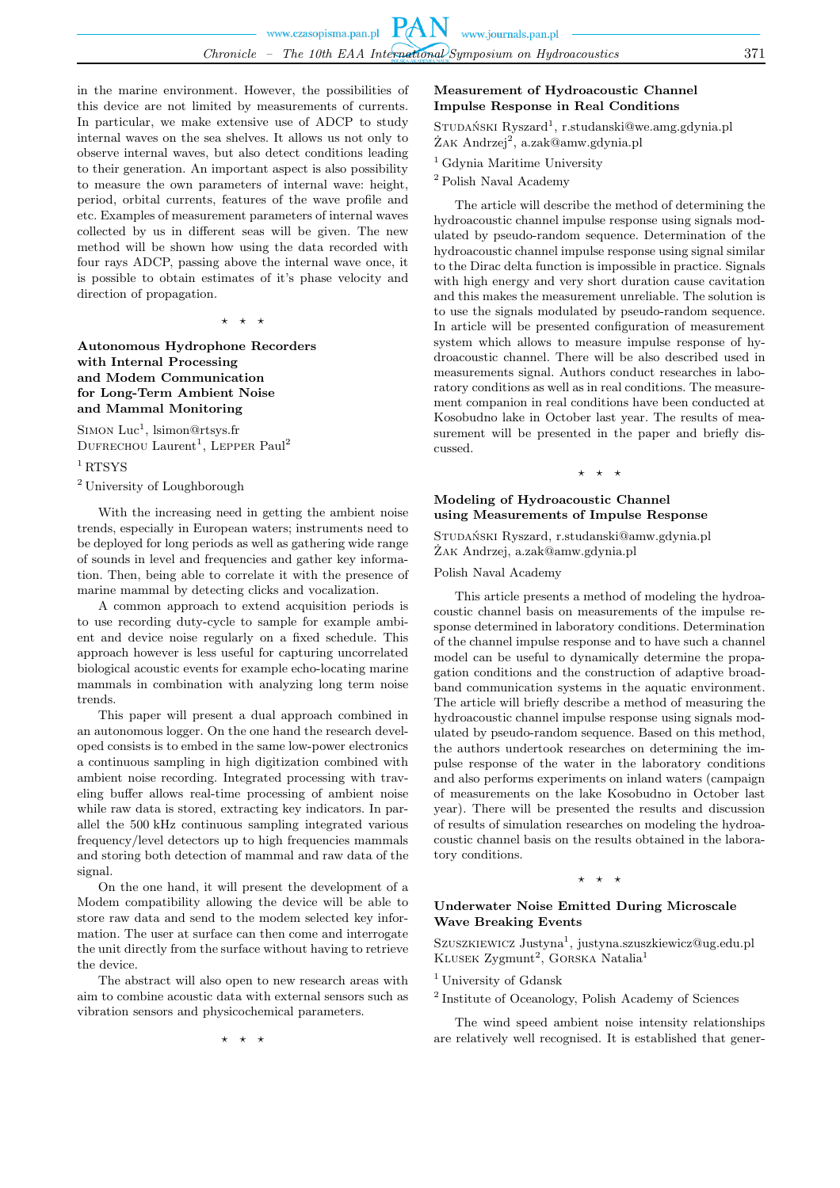in the marine environment. However, the possibilities of this device are not limited by measurements of currents. In particular, we make extensive use of ADCP to study internal waves on the sea shelves. It allows us not only to observe internal waves, but also detect conditions leading to their generation. An important aspect is also possibility to measure the own parameters of internal wave: height, period, orbital currents, features of the wave profile and etc. Examples of measurement parameters of internal waves collected by us in different seas will be given. The new method will be shown how using the data recorded with four rays ADCP, passing above the internal wave once, it is possible to obtain estimates of it's phase velocity and direction of propagation.

⋆ ⋆ ⋆

# **Autonomous Hydrophone Recorders with Internal Processing and Modem Communication for Long-Term Ambient Noise and Mammal Monitoring**

SIMON  $Luc^1$ , lsimon@rtsys.fr DUFRECHOU Laurent<sup>1</sup>, LEPPER Paul<sup>2</sup>

### <sup>1</sup>RTSYS

<sup>2</sup> University of Loughborough

With the increasing need in getting the ambient noise trends, especially in European waters; instruments need to be deployed for long periods as well as gathering wide range of sounds in level and frequencies and gather key information. Then, being able to correlate it with the presence of marine mammal by detecting clicks and vocalization.

A common approach to extend acquisition periods is to use recording duty-cycle to sample for example ambient and device noise regularly on a fixed schedule. This approach however is less useful for capturing uncorrelated biological acoustic events for example echo-locating marine mammals in combination with analyzing long term noise trends.

This paper will present a dual approach combined in an autonomous logger. On the one hand the research developed consists is to embed in the same low-power electronics a continuous sampling in high digitization combined with ambient noise recording. Integrated processing with traveling buffer allows real-time processing of ambient noise while raw data is stored, extracting key indicators. In parallel the 500 kHz continuous sampling integrated various frequency/level detectors up to high frequencies mammals and storing both detection of mammal and raw data of the signal.

On the one hand, it will present the development of a Modem compatibility allowing the device will be able to store raw data and send to the modem selected key information. The user at surface can then come and interrogate the unit directly from the surface without having to retrieve the device.

The abstract will also open to new research areas with aim to combine acoustic data with external sensors such as vibration sensors and physicochemical parameters.

⋆ ⋆ ⋆

# **Measurement of Hydroacoustic Channel Impulse Response in Real Conditions**

STUDAŃSKI Ryszard<sup>1</sup>, r.studanski@we.amg.gdynia.pl ŻAK Andrzej<sup>2</sup>, a.zak@amw.gdynia.pl

<sup>1</sup> Gdynia Maritime University

 $^2$  Polish Naval Academy

The article will describe the method of determining the hydroacoustic channel impulse response using signals modulated by pseudo-random sequence. Determination of the hydroacoustic channel impulse response using signal similar to the Dirac delta function is impossible in practice. Signals with high energy and very short duration cause cavitation and this makes the measurement unreliable. The solution is to use the signals modulated by pseudo-random sequence. In article will be presented configuration of measurement system which allows to measure impulse response of hydroacoustic channel. There will be also described used in measurements signal. Authors conduct researches in laboratory conditions as well as in real conditions. The measurement companion in real conditions have been conducted at Kosobudno lake in October last year. The results of measurement will be presented in the paper and briefly discussed.

### $\star$   $\star$

### **Modeling of Hydroacoustic Channel using Measurements of Impulse Response**

Studański Ryszard, r.studanski@amw.gdynia.pl Żak Andrzej, a.zak@amw.gdynia.pl

Polish Naval Academy

This article presents a method of modeling the hydroacoustic channel basis on measurements of the impulse response determined in laboratory conditions. Determination of the channel impulse response and to have such a channel model can be useful to dynamically determine the propagation conditions and the construction of adaptive broadband communication systems in the aquatic environment. The article will briefly describe a method of measuring the hydroacoustic channel impulse response using signals modulated by pseudo-random sequence. Based on this method, the authors undertook researches on determining the impulse response of the water in the laboratory conditions and also performs experiments on inland waters (campaign of measurements on the lake Kosobudno in October last year). There will be presented the results and discussion of results of simulation researches on modeling the hydroacoustic channel basis on the results obtained in the laboratory conditions.

#### ⋆ ⋆ ⋆

### **Underwater Noise Emitted During Microscale Wave Breaking Events**

Szuszkiewicz Justyna<sup>1</sup>, justyna.szuszkiewicz@ug.edu.pl  $KL$ USEK Zygmunt<sup>2</sup>, GORSKA Natalia<sup>1</sup>

<sup>1</sup> University of Gdansk

2 Institute of Oceanology, Polish Academy of Sciences

The wind speed ambient noise intensity relationships are relatively well recognised. It is established that gener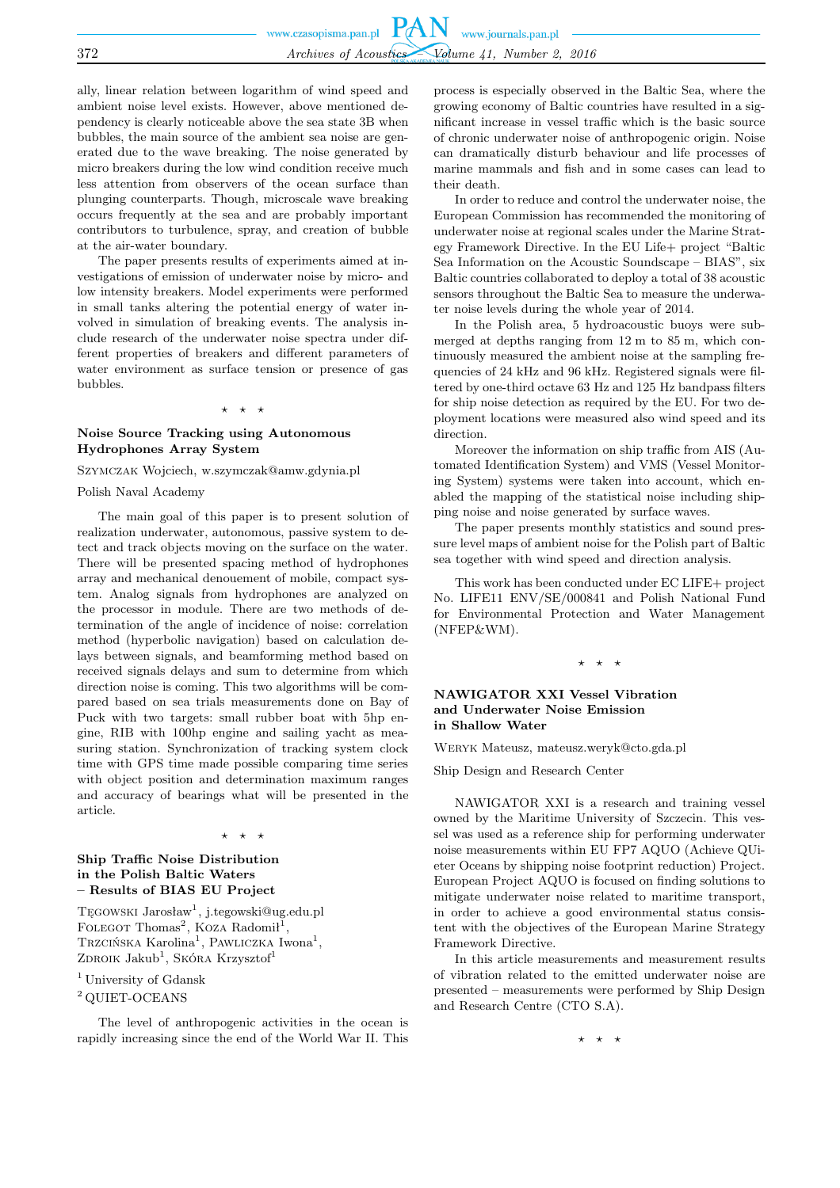ally, linear relation between logarithm of wind speed and ambient noise level exists. However, above mentioned dependency is clearly noticeable above the sea state 3B when bubbles, the main source of the ambient sea noise are generated due to the wave breaking. The noise generated by micro breakers during the low wind condition receive much less attention from observers of the ocean surface than plunging counterparts. Though, microscale wave breaking occurs frequently at the sea and are probably important contributors to turbulence, spray, and creation of bubble at the air-water boundary.

The paper presents results of experiments aimed at investigations of emission of underwater noise by micro- and low intensity breakers. Model experiments were performed in small tanks altering the potential energy of water involved in simulation of breaking events. The analysis include research of the underwater noise spectra under different properties of breakers and different parameters of water environment as surface tension or presence of gas bubbles.

#### ⋆ ⋆ ⋆

### **Noise Source Tracking using Autonomous Hydrophones Array System**

Szymczak Wojciech, w.szymczak@amw.gdynia.pl

Polish Naval Academy

The main goal of this paper is to present solution of realization underwater, autonomous, passive system to detect and track objects moving on the surface on the water. There will be presented spacing method of hydrophones array and mechanical denouement of mobile, compact system. Analog signals from hydrophones are analyzed on the processor in module. There are two methods of determination of the angle of incidence of noise: correlation method (hyperbolic navigation) based on calculation delays between signals, and beamforming method based on received signals delays and sum to determine from which direction noise is coming. This two algorithms will be compared based on sea trials measurements done on Bay of Puck with two targets: small rubber boat with 5hp engine, RIB with 100hp engine and sailing yacht as measuring station. Synchronization of tracking system clock time with GPS time made possible comparing time series with object position and determination maximum ranges and accuracy of bearings what will be presented in the article.

#### ⋆ ⋆ ⋆

# **Ship Traffic Noise Distribution in the Polish Baltic Waters – Results of BIAS EU Project**

Tęgowski Jarosław<sup>1</sup>, j.tegowski@ug.edu.pl FOLEGOT Thomas<sup>2</sup>, KOZA Radomił<sup>1</sup>, Trzcińska Karolina<sup>1</sup>, Pawliczka Iwona<sup>1</sup>, ZDROIK Jakub<sup>1</sup>, Skóra Krzysztof<sup>1</sup>

<sup>1</sup> University of Gdansk

<sup>2</sup> QUIET-OCEANS

The level of anthropogenic activities in the ocean is rapidly increasing since the end of the World War II. This

process is especially observed in the Baltic Sea, where the growing economy of Baltic countries have resulted in a significant increase in vessel traffic which is the basic source of chronic underwater noise of anthropogenic origin. Noise can dramatically disturb behaviour and life processes of marine mammals and fish and in some cases can lead to their death.

In order to reduce and control the underwater noise, the European Commission has recommended the monitoring of underwater noise at regional scales under the Marine Strategy Framework Directive. In the EU Life+ project "Baltic Sea Information on the Acoustic Soundscape – BIAS", six Baltic countries collaborated to deploy a total of 38 acoustic sensors throughout the Baltic Sea to measure the underwater noise levels during the whole year of 2014.

In the Polish area, 5 hydroacoustic buoys were submerged at depths ranging from 12 m to 85 m, which continuously measured the ambient noise at the sampling frequencies of 24 kHz and 96 kHz. Registered signals were filtered by one-third octave 63 Hz and 125 Hz bandpass filters for ship noise detection as required by the EU. For two deployment locations were measured also wind speed and its direction.

Moreover the information on ship traffic from AIS (Automated Identification System) and VMS (Vessel Monitoring System) systems were taken into account, which enabled the mapping of the statistical noise including shipping noise and noise generated by surface waves.

The paper presents monthly statistics and sound pressure level maps of ambient noise for the Polish part of Baltic sea together with wind speed and direction analysis.

This work has been conducted under EC LIFE+ project No. LIFE11 ENV/SE/000841 and Polish National Fund for Environmental Protection and Water Management (NFEP&WM).

 $\rightarrow$ 

### **NAWIGATOR XXI Vessel Vibration and Underwater Noise Emission in Shallow Water**

Weryk Mateusz, mateusz.weryk@cto.gda.pl

Ship Design and Research Center

NAWIGATOR XXI is a research and training vessel owned by the Maritime University of Szczecin. This vessel was used as a reference ship for performing underwater noise measurements within EU FP7 AQUO (Achieve QUieter Oceans by shipping noise footprint reduction) Project. European Project AQUO is focused on finding solutions to mitigate underwater noise related to maritime transport, in order to achieve a good environmental status consistent with the objectives of the European Marine Strategy Framework Directive.

In this article measurements and measurement results of vibration related to the emitted underwater noise are presented – measurements were performed by Ship Design and Research Centre (CTO S.A).